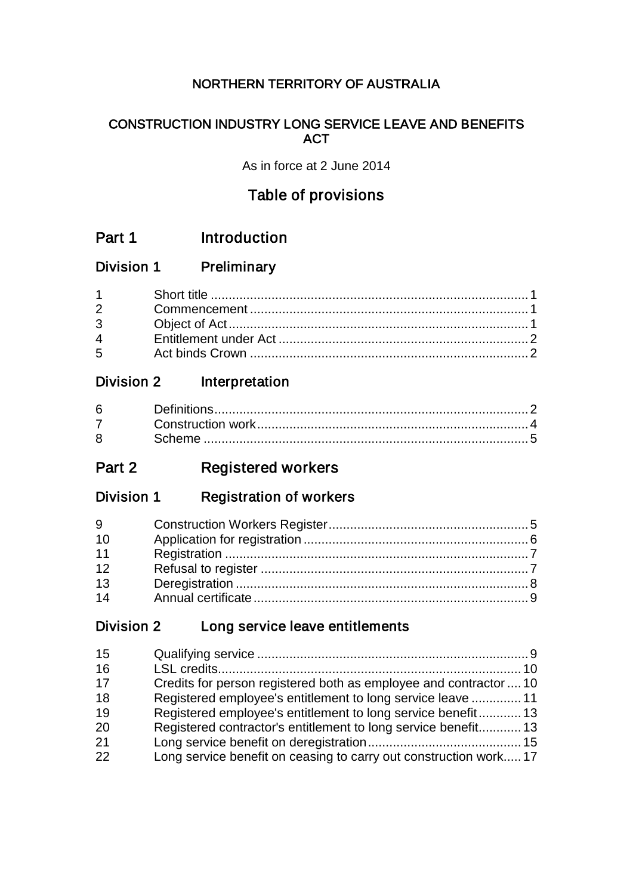## NORTHERN TERRITORY OF AUSTRALIA

## CONSTRUCTION INDUSTRY LONG SERVICE LEAVE AND BENEFITS **ACT**

As in force at 2 June 2014

## Table of provisions

- Part 1 Introduction
- Division 1 Preliminary

| $\overline{4}$ and $\overline{4}$ |  |
|-----------------------------------|--|
| $5^{\circ}$                       |  |

## Division 2 Interpretation

## Part 2 Registered workers

Division 1 Registration of workers

| 9  |  |
|----|--|
| 10 |  |
| 11 |  |
| 12 |  |
| 13 |  |
| 14 |  |

## Division 2 Long service leave entitlements

| 15 |                                                                   |  |
|----|-------------------------------------------------------------------|--|
| 16 |                                                                   |  |
| 17 | Credits for person registered both as employee and contractor  10 |  |
| 18 | Registered employee's entitlement to long service leave  11       |  |
| 19 | Registered employee's entitlement to long service benefit13       |  |
| 20 | Registered contractor's entitlement to long service benefit 13    |  |
| 21 |                                                                   |  |
| 22 | Long service benefit on ceasing to carry out construction work 17 |  |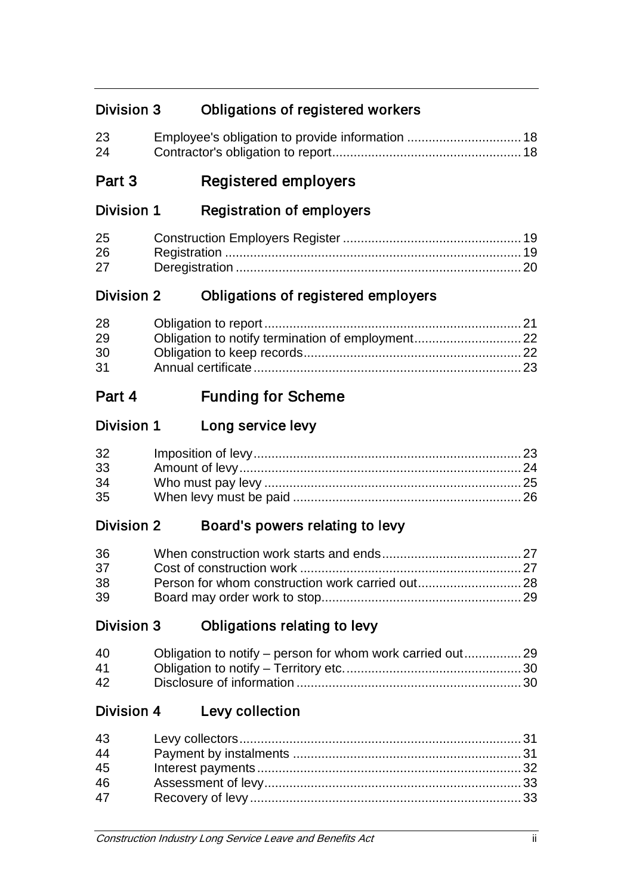## Division 3 Obligations of registered workers

| 23 |  |
|----|--|
| 24 |  |

## Part 3 Registered employers

## Division 1 Registration of employers

| 25 |  |
|----|--|
| 26 |  |
| 27 |  |

## Division 2 Obligations of registered employers

| 28 |  |
|----|--|
| 29 |  |
| 30 |  |
| 31 |  |

## Part 4 Funding for Scheme

## Division 1 Long service levy

| 32 |  |
|----|--|
| 33 |  |
| 34 |  |
| 35 |  |

## Division 2 Board's powers relating to levy

| 36 |  |
|----|--|
| 37 |  |
| 38 |  |
| 39 |  |

## Division 3 Obligations relating to levy

| 40       |  |
|----------|--|
| 41       |  |
| $\Delta$ |  |

## Division 4 Levy collection

| 43 |  |
|----|--|
| 44 |  |
| 45 |  |
| 46 |  |
| 47 |  |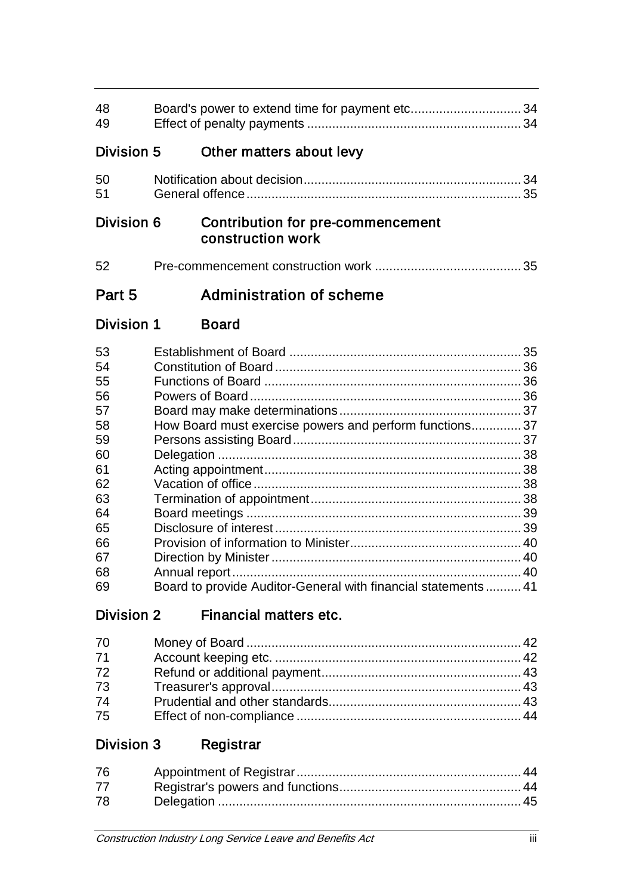| 48<br>49   |                                                               |  |
|------------|---------------------------------------------------------------|--|
| Division 5 | Other matters about levy                                      |  |
| 50<br>51   |                                                               |  |
| Division 6 | <b>Contribution for pre-commencement</b><br>construction work |  |
| 52         |                                                               |  |
| Part 5     | Administration of scheme                                      |  |
| Division 1 | <b>Board</b>                                                  |  |
| 53         |                                                               |  |
| 54         |                                                               |  |
| 55         |                                                               |  |
| 56         |                                                               |  |
| 57         |                                                               |  |
| 58         |                                                               |  |
|            | How Board must exercise powers and perform functions 37       |  |
| 59         |                                                               |  |
| 60         |                                                               |  |
| 61         |                                                               |  |
| 62         |                                                               |  |
| 63         |                                                               |  |
| 64         |                                                               |  |
| 65         |                                                               |  |
| 66         |                                                               |  |
| 67         |                                                               |  |
| 68<br>69   | Board to provide Auditor-General with financial statements 41 |  |

# Division 2 Financial matters etc.

| 70 |  |
|----|--|
| 71 |  |
| 72 |  |
| 73 |  |
| 74 |  |
| 75 |  |

# Division 3 Registrar

| 76 |  |
|----|--|
| 77 |  |
| 78 |  |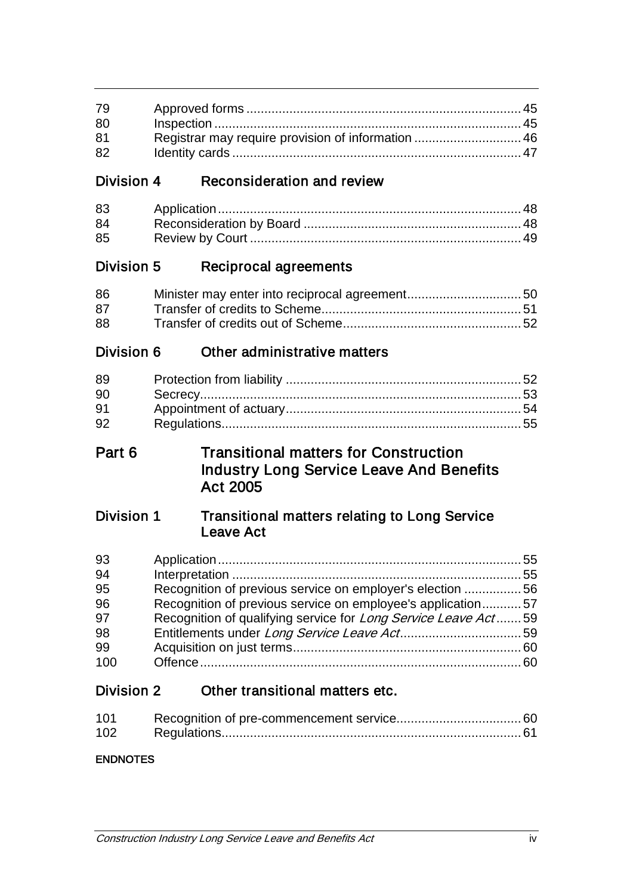| 79 |  |
|----|--|
| 80 |  |
| 81 |  |
| 82 |  |

## Division 4 Reconsideration and review

| 83 |  |
|----|--|
| 84 |  |
| 85 |  |

## Division 5 Reciprocal agreements

| 86 |  |
|----|--|
| 87 |  |
| 88 |  |

## Division 6 Other administrative matters

| 89 |  |
|----|--|
| 90 |  |
| 91 |  |
| 92 |  |

## Part 6 Transitional matters for Construction Industry Long Service Leave And Benefits Act 2005

## Division 1 Transitional matters relating to Long Service Leave Act

| 93  |                                                                 |  |
|-----|-----------------------------------------------------------------|--|
| 94  |                                                                 |  |
| 95  | Recognition of previous service on employer's election 56       |  |
| 96  | Recognition of previous service on employee's application57     |  |
| 97  | Recognition of qualifying service for Long Service Leave Act 59 |  |
| 98  |                                                                 |  |
| 99  |                                                                 |  |
| 100 |                                                                 |  |

## Division 2 Other transitional matters etc.

| 101 |  |
|-----|--|
| 102 |  |

## ENDNOTES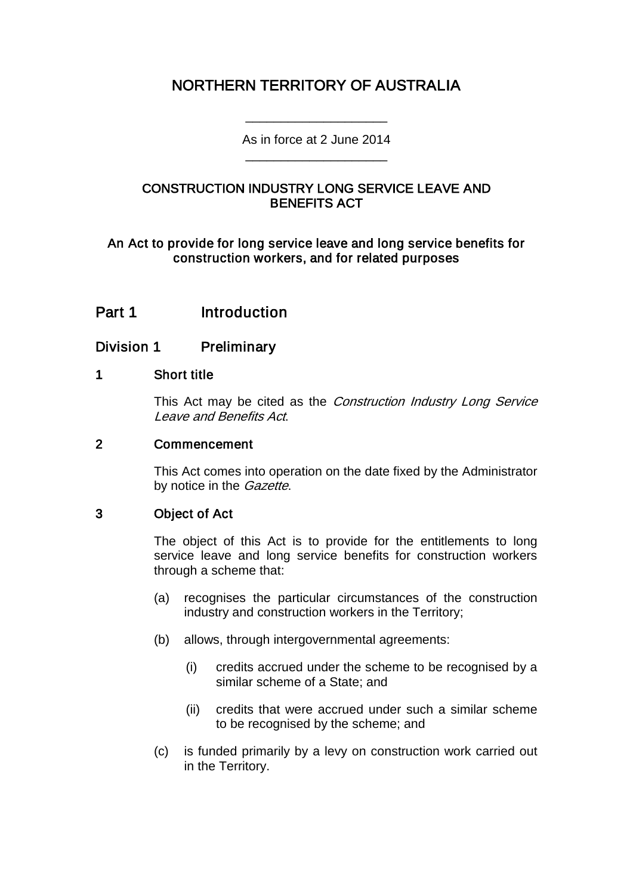## NORTHERN TERRITORY OF AUSTRALIA

As in force at 2 June 2014 \_\_\_\_\_\_\_\_\_\_\_\_\_\_\_\_\_\_\_\_

\_\_\_\_\_\_\_\_\_\_\_\_\_\_\_\_\_\_\_\_

## CONSTRUCTION INDUSTRY LONG SERVICE LEAVE AND BENEFITS ACT

An Act to provide for long service leave and long service benefits for construction workers, and for related purposes

## Part 1 Introduction

## Division 1 Preliminary

### 1 Short title

This Act may be cited as the Construction Industry Long Service Leave and Benefits Act.

#### 2 Commencement

This Act comes into operation on the date fixed by the Administrator by notice in the *Gazette*.

## 3 Object of Act

The object of this Act is to provide for the entitlements to long service leave and long service benefits for construction workers through a scheme that:

- (a) recognises the particular circumstances of the construction industry and construction workers in the Territory;
- (b) allows, through intergovernmental agreements:
	- (i) credits accrued under the scheme to be recognised by a similar scheme of a State; and
	- (ii) credits that were accrued under such a similar scheme to be recognised by the scheme; and
- (c) is funded primarily by a levy on construction work carried out in the Territory.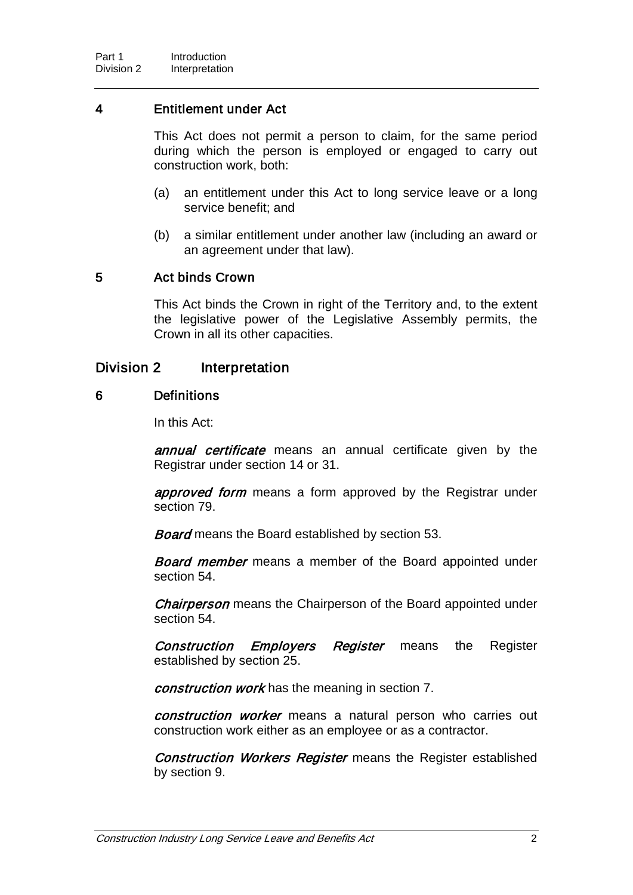## 4 Entitlement under Act

This Act does not permit a person to claim, for the same period during which the person is employed or engaged to carry out construction work, both:

- (a) an entitlement under this Act to long service leave or a long service benefit; and
- (b) a similar entitlement under another law (including an award or an agreement under that law).

### 5 Act binds Crown

This Act binds the Crown in right of the Territory and, to the extent the legislative power of the Legislative Assembly permits, the Crown in all its other capacities.

## Division 2 Interpretation

#### 6 Definitions

In this Act:

annual certificate means an annual certificate given by the Registrar under section 14 or 31.

approved form means a form approved by the Registrar under section 79.

**Board** means the Board established by section 53.

**Board member** means a member of the Board appointed under section 54.

Chairperson means the Chairperson of the Board appointed under section 54.

Construction Employers Register means the Register established by section 25.

construction work has the meaning in section 7.

construction worker means a natural person who carries out construction work either as an employee or as a contractor.

**Construction Workers Register** means the Register established by section 9.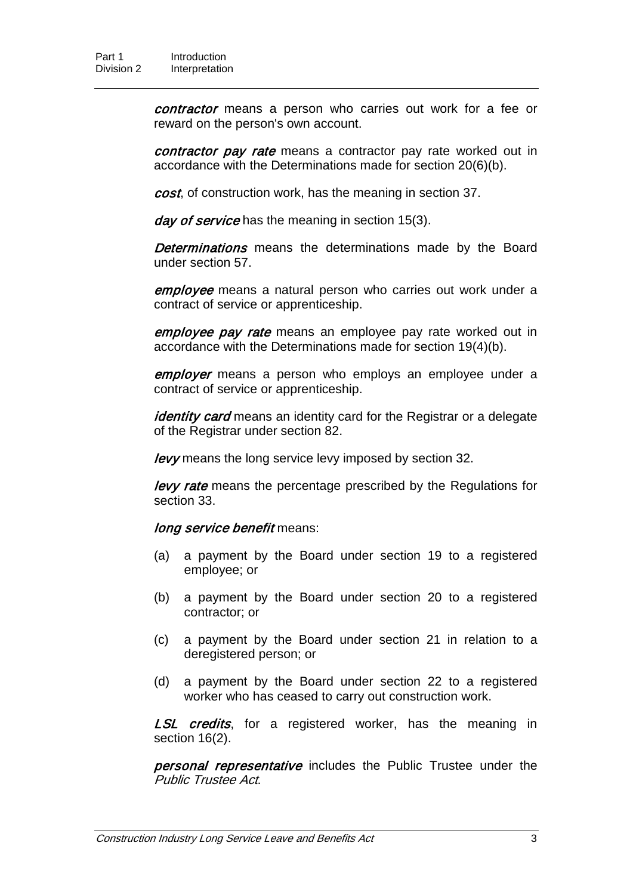contractor means a person who carries out work for a fee or reward on the person's own account.

contractor pay rate means a contractor pay rate worked out in accordance with the Determinations made for section 20(6)(b).

cost, of construction work, has the meaning in section 37.

day of service has the meaning in section 15(3).

**Determinations** means the determinations made by the Board under section 57.

employee means a natural person who carries out work under a contract of service or apprenticeship.

employee pay rate means an employee pay rate worked out in accordance with the Determinations made for section 19(4)(b).

employer means a person who employs an employee under a contract of service or apprenticeship.

identity card means an identity card for the Registrar or a delegate of the Registrar under section 82.

levy means the long service levy imposed by section 32.

**levy rate** means the percentage prescribed by the Regulations for section 33.

long service benefit means:

- (a) a payment by the Board under section 19 to a registered employee; or
- (b) a payment by the Board under section 20 to a registered contractor; or
- (c) a payment by the Board under section 21 in relation to a deregistered person; or
- (d) a payment by the Board under section 22 to a registered worker who has ceased to carry out construction work.

LSL credits, for a registered worker, has the meaning in section 16(2).

personal representative includes the Public Trustee under the Public Trustee Act.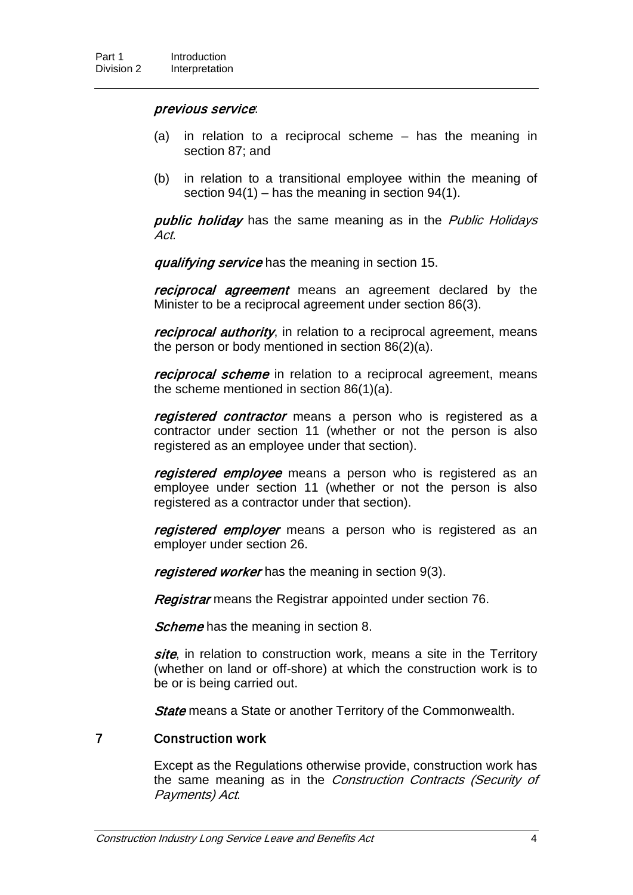#### previous service:

- (a) in relation to a reciprocal scheme has the meaning in section 87; and
- (b) in relation to a transitional employee within the meaning of section  $94(1)$  – has the meaning in section  $94(1)$ .

public holiday has the same meaning as in the Public Holidays Act.

qualifying service has the meaning in section 15.

reciprocal agreement means an agreement declared by the Minister to be a reciprocal agreement under section 86(3).

reciprocal authority, in relation to a reciprocal agreement, means the person or body mentioned in section 86(2)(a).

reciprocal scheme in relation to a reciprocal agreement, means the scheme mentioned in section 86(1)(a).

registered contractor means a person who is registered as a contractor under section 11 (whether or not the person is also registered as an employee under that section).

registered employee means a person who is registered as an employee under section 11 (whether or not the person is also registered as a contractor under that section).

registered employer means a person who is registered as an employer under section 26.

registered worker has the meaning in section 9(3).

Registrar means the Registrar appointed under section 76.

Scheme has the meaning in section 8.

site, in relation to construction work, means a site in the Territory (whether on land or off-shore) at which the construction work is to be or is being carried out.

**State** means a State or another Territory of the Commonwealth.

#### 7 Construction work

Except as the Regulations otherwise provide, construction work has the same meaning as in the Construction Contracts (Security of Payments) Act.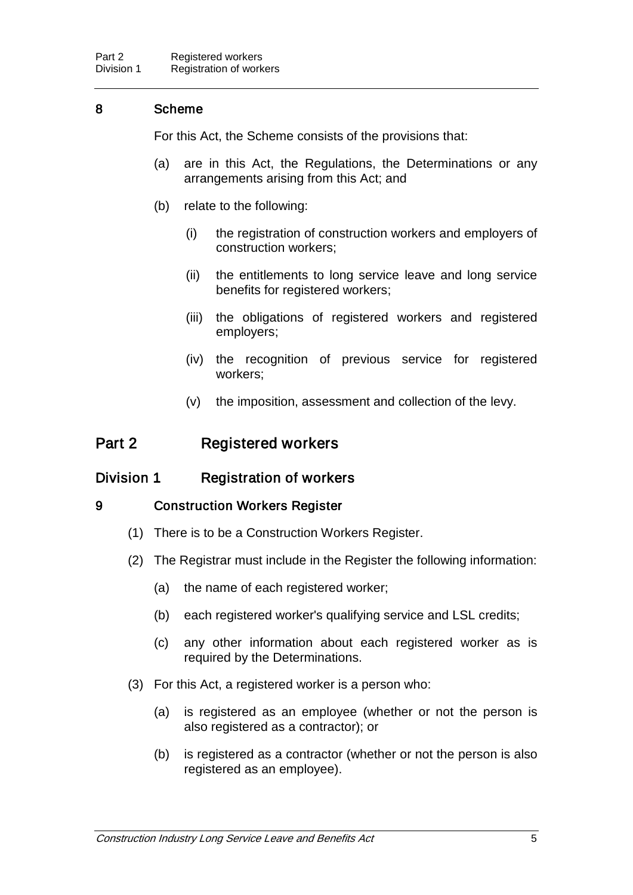## 8 Scheme

For this Act, the Scheme consists of the provisions that:

- (a) are in this Act, the Regulations, the Determinations or any arrangements arising from this Act; and
- (b) relate to the following:
	- (i) the registration of construction workers and employers of construction workers;
	- (ii) the entitlements to long service leave and long service benefits for registered workers;
	- (iii) the obligations of registered workers and registered employers;
	- (iv) the recognition of previous service for registered workers;
	- (v) the imposition, assessment and collection of the levy.

## Part 2 Registered workers

## Division 1 Registration of workers

## 9 Construction Workers Register

- (1) There is to be a Construction Workers Register.
- (2) The Registrar must include in the Register the following information:
	- (a) the name of each registered worker;
	- (b) each registered worker's qualifying service and LSL credits;
	- (c) any other information about each registered worker as is required by the Determinations.
- (3) For this Act, a registered worker is a person who:
	- (a) is registered as an employee (whether or not the person is also registered as a contractor); or
	- (b) is registered as a contractor (whether or not the person is also registered as an employee).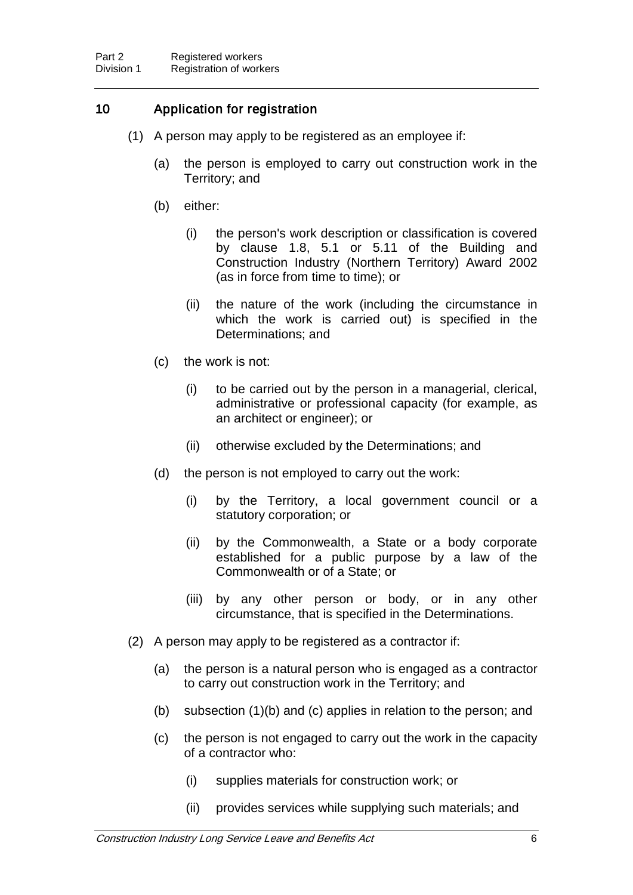## 10 Application for registration

- (1) A person may apply to be registered as an employee if:
	- (a) the person is employed to carry out construction work in the Territory; and
	- (b) either:
		- (i) the person's work description or classification is covered by clause 1.8, 5.1 or 5.11 of the Building and Construction Industry (Northern Territory) Award 2002 (as in force from time to time); or
		- (ii) the nature of the work (including the circumstance in which the work is carried out) is specified in the Determinations; and
	- (c) the work is not:
		- (i) to be carried out by the person in a managerial, clerical, administrative or professional capacity (for example, as an architect or engineer); or
		- (ii) otherwise excluded by the Determinations; and
	- (d) the person is not employed to carry out the work:
		- (i) by the Territory, a local government council or a statutory corporation; or
		- (ii) by the Commonwealth, a State or a body corporate established for a public purpose by a law of the Commonwealth or of a State; or
		- (iii) by any other person or body, or in any other circumstance, that is specified in the Determinations.
- (2) A person may apply to be registered as a contractor if:
	- (a) the person is a natural person who is engaged as a contractor to carry out construction work in the Territory; and
	- (b) subsection (1)(b) and (c) applies in relation to the person; and
	- (c) the person is not engaged to carry out the work in the capacity of a contractor who:
		- (i) supplies materials for construction work; or
		- (ii) provides services while supplying such materials; and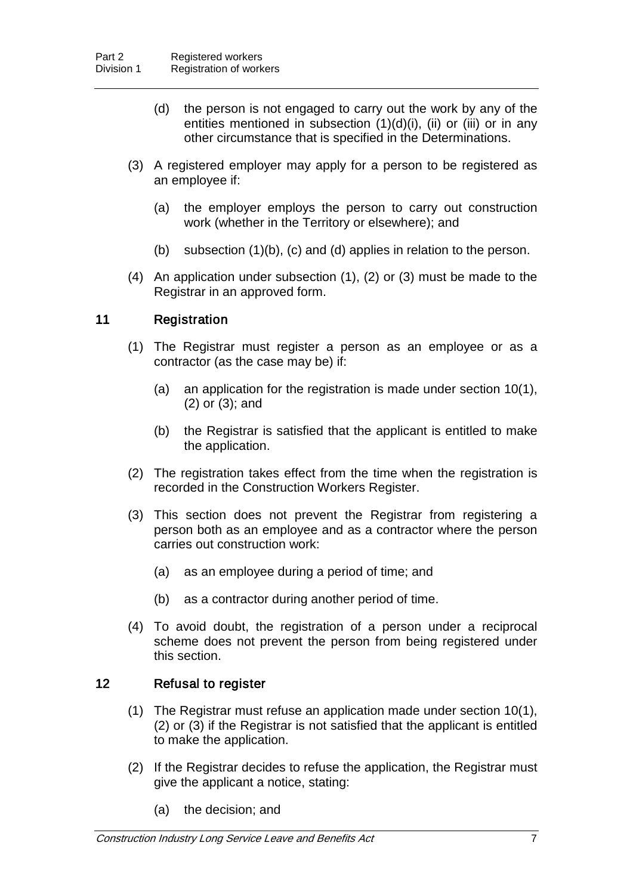- (d) the person is not engaged to carry out the work by any of the entities mentioned in subsection  $(1)(d)(i)$ , (ii) or (iii) or in any other circumstance that is specified in the Determinations.
- (3) A registered employer may apply for a person to be registered as an employee if:
	- (a) the employer employs the person to carry out construction work (whether in the Territory or elsewhere); and
	- (b) subsection (1)(b), (c) and (d) applies in relation to the person.
- (4) An application under subsection (1), (2) or (3) must be made to the Registrar in an approved form.

## 11 Registration

- (1) The Registrar must register a person as an employee or as a contractor (as the case may be) if:
	- (a) an application for the registration is made under section 10(1), (2) or (3); and
	- (b) the Registrar is satisfied that the applicant is entitled to make the application.
- (2) The registration takes effect from the time when the registration is recorded in the Construction Workers Register.
- (3) This section does not prevent the Registrar from registering a person both as an employee and as a contractor where the person carries out construction work:
	- (a) as an employee during a period of time; and
	- (b) as a contractor during another period of time.
- (4) To avoid doubt, the registration of a person under a reciprocal scheme does not prevent the person from being registered under this section.

## 12 Refusal to register

- (1) The Registrar must refuse an application made under section 10(1), (2) or (3) if the Registrar is not satisfied that the applicant is entitled to make the application.
- (2) If the Registrar decides to refuse the application, the Registrar must give the applicant a notice, stating:
	- (a) the decision; and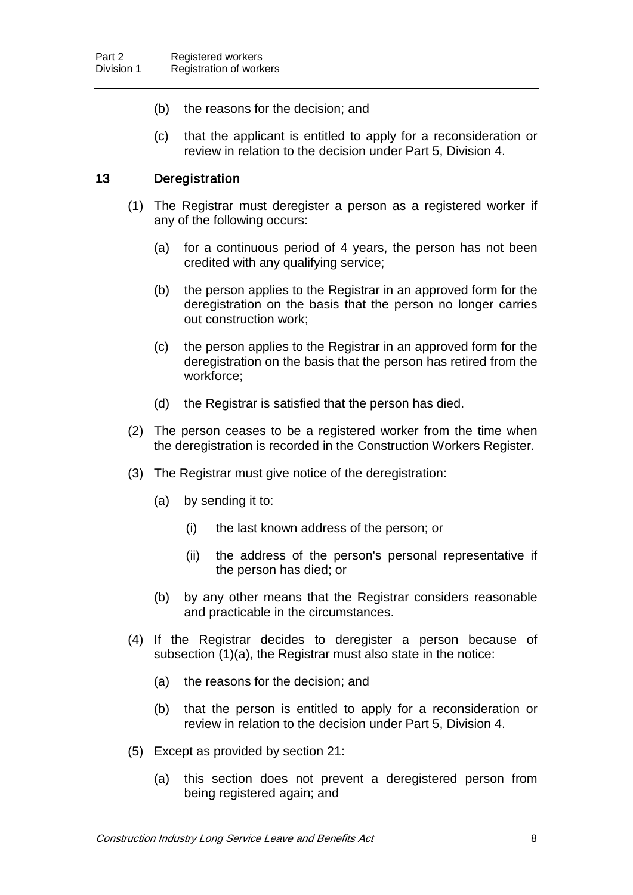- (b) the reasons for the decision; and
- (c) that the applicant is entitled to apply for a reconsideration or review in relation to the decision under Part 5, Division 4.

### 13 Deregistration

- (1) The Registrar must deregister a person as a registered worker if any of the following occurs:
	- (a) for a continuous period of 4 years, the person has not been credited with any qualifying service;
	- (b) the person applies to the Registrar in an approved form for the deregistration on the basis that the person no longer carries out construction work;
	- (c) the person applies to the Registrar in an approved form for the deregistration on the basis that the person has retired from the workforce;
	- (d) the Registrar is satisfied that the person has died.
- (2) The person ceases to be a registered worker from the time when the deregistration is recorded in the Construction Workers Register.
- (3) The Registrar must give notice of the deregistration:
	- (a) by sending it to:
		- (i) the last known address of the person; or
		- (ii) the address of the person's personal representative if the person has died; or
	- (b) by any other means that the Registrar considers reasonable and practicable in the circumstances.
- (4) If the Registrar decides to deregister a person because of subsection (1)(a), the Registrar must also state in the notice:
	- (a) the reasons for the decision; and
	- (b) that the person is entitled to apply for a reconsideration or review in relation to the decision under Part 5, Division 4.
- (5) Except as provided by section 21:
	- (a) this section does not prevent a deregistered person from being registered again; and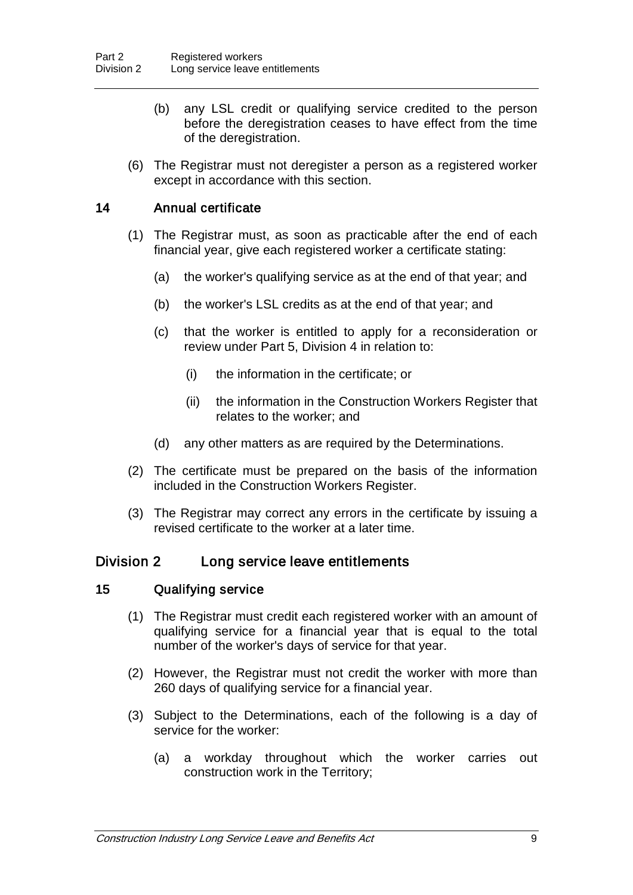- (b) any LSL credit or qualifying service credited to the person before the deregistration ceases to have effect from the time of the deregistration.
- (6) The Registrar must not deregister a person as a registered worker except in accordance with this section.

## 14 Annual certificate

- (1) The Registrar must, as soon as practicable after the end of each financial year, give each registered worker a certificate stating:
	- (a) the worker's qualifying service as at the end of that year; and
	- (b) the worker's LSL credits as at the end of that year; and
	- (c) that the worker is entitled to apply for a reconsideration or review under Part 5, Division 4 in relation to:
		- (i) the information in the certificate; or
		- (ii) the information in the Construction Workers Register that relates to the worker; and
	- (d) any other matters as are required by the Determinations.
- (2) The certificate must be prepared on the basis of the information included in the Construction Workers Register.
- (3) The Registrar may correct any errors in the certificate by issuing a revised certificate to the worker at a later time.

## Division 2 Long service leave entitlements

#### 15 Qualifying service

- (1) The Registrar must credit each registered worker with an amount of qualifying service for a financial year that is equal to the total number of the worker's days of service for that year.
- (2) However, the Registrar must not credit the worker with more than 260 days of qualifying service for a financial year.
- (3) Subject to the Determinations, each of the following is a day of service for the worker:
	- (a) a workday throughout which the worker carries out construction work in the Territory;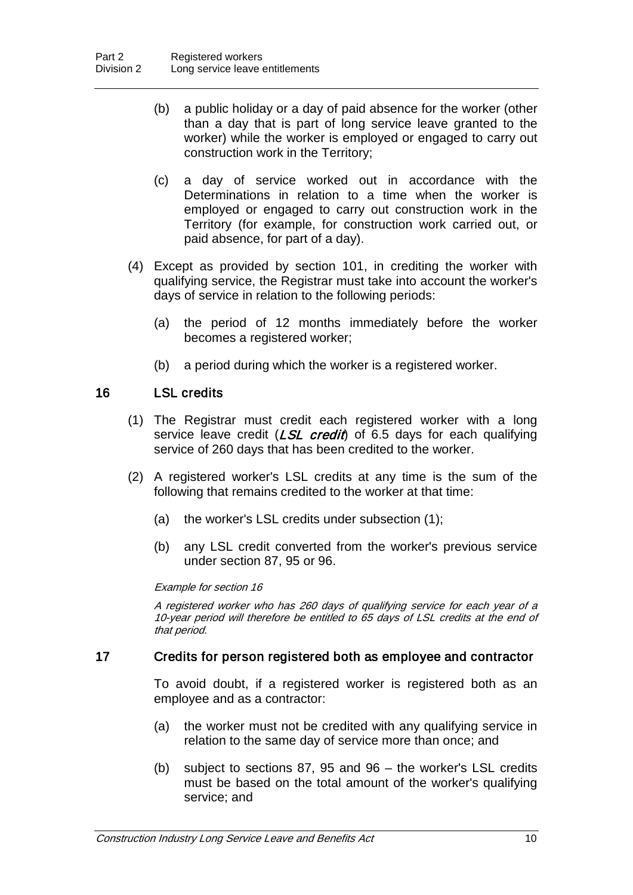- (b) a public holiday or a day of paid absence for the worker (other than a day that is part of long service leave granted to the worker) while the worker is employed or engaged to carry out construction work in the Territory;
- (c) a day of service worked out in accordance with the Determinations in relation to a time when the worker is employed or engaged to carry out construction work in the Territory (for example, for construction work carried out, or paid absence, for part of a day).
- (4) Except as provided by section 101, in crediting the worker with qualifying service, the Registrar must take into account the worker's days of service in relation to the following periods:
	- (a) the period of 12 months immediately before the worker becomes a registered worker;
	- (b) a period during which the worker is a registered worker.

## 16 LSL credits

- (1) The Registrar must credit each registered worker with a long service leave credit  $(LSL \, credit)$  of 6.5 days for each qualifying service of 260 days that has been credited to the worker.
- (2) A registered worker's LSL credits at any time is the sum of the following that remains credited to the worker at that time:
	- (a) the worker's LSL credits under subsection (1);
	- (b) any LSL credit converted from the worker's previous service under section 87, 95 or 96.

#### Example for section 16

A registered worker who has 260 days of qualifying service for each year of a 10-year period will therefore be entitled to 65 days of LSL credits at the end of that period.

## 17 Credits for person registered both as employee and contractor

To avoid doubt, if a registered worker is registered both as an employee and as a contractor:

- (a) the worker must not be credited with any qualifying service in relation to the same day of service more than once; and
- (b) subject to sections 87, 95 and 96 the worker's LSL credits must be based on the total amount of the worker's qualifying service; and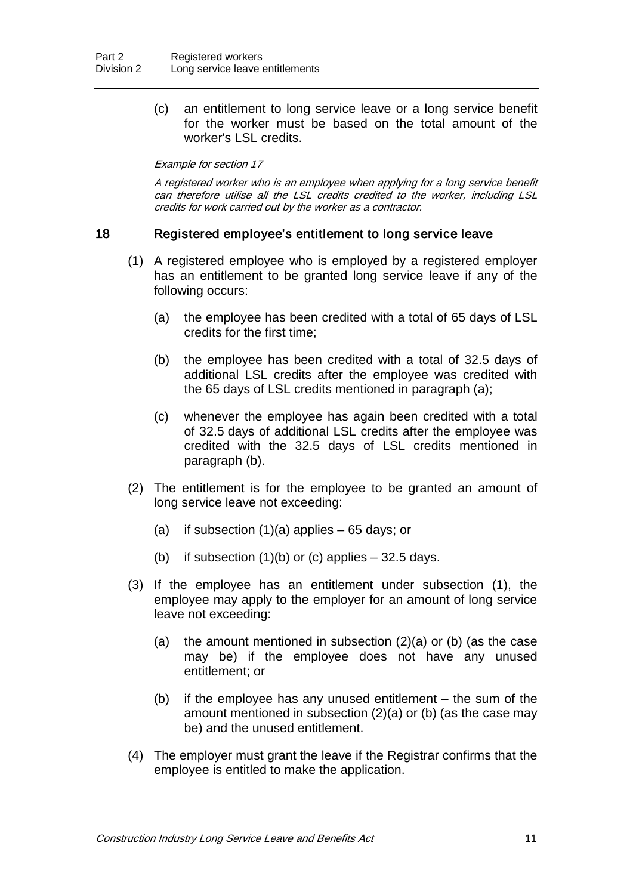(c) an entitlement to long service leave or a long service benefit for the worker must be based on the total amount of the worker's LSL credits.

#### Example for section 17

A registered worker who is an employee when applying for a long service benefit can therefore utilise all the LSL credits credited to the worker, including LSL credits for work carried out by the worker as a contractor.

#### 18 Registered employee's entitlement to long service leave

- (1) A registered employee who is employed by a registered employer has an entitlement to be granted long service leave if any of the following occurs:
	- (a) the employee has been credited with a total of 65 days of LSL credits for the first time;
	- (b) the employee has been credited with a total of 32.5 days of additional LSL credits after the employee was credited with the 65 days of LSL credits mentioned in paragraph (a);
	- (c) whenever the employee has again been credited with a total of 32.5 days of additional LSL credits after the employee was credited with the 32.5 days of LSL credits mentioned in paragraph (b).
- (2) The entitlement is for the employee to be granted an amount of long service leave not exceeding:
	- (a) if subsection  $(1)(a)$  applies 65 days; or
	- (b) if subsection  $(1)(b)$  or (c) applies  $-32.5$  days.
- (3) If the employee has an entitlement under subsection (1), the employee may apply to the employer for an amount of long service leave not exceeding:
	- (a) the amount mentioned in subsection (2)(a) or (b) (as the case may be) if the employee does not have any unused entitlement; or
	- (b) if the employee has any unused entitlement the sum of the amount mentioned in subsection (2)(a) or (b) (as the case may be) and the unused entitlement.
- (4) The employer must grant the leave if the Registrar confirms that the employee is entitled to make the application.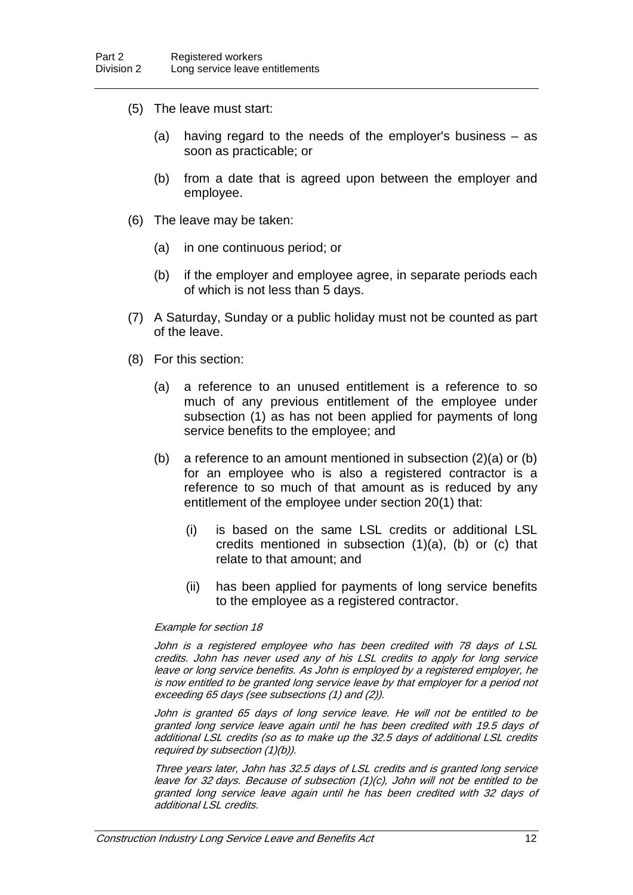- (5) The leave must start:
	- (a) having regard to the needs of the employer's business as soon as practicable; or
	- (b) from a date that is agreed upon between the employer and employee.
- (6) The leave may be taken:
	- (a) in one continuous period; or
	- (b) if the employer and employee agree, in separate periods each of which is not less than 5 days.
- (7) A Saturday, Sunday or a public holiday must not be counted as part of the leave.
- (8) For this section:
	- (a) a reference to an unused entitlement is a reference to so much of any previous entitlement of the employee under subsection (1) as has not been applied for payments of long service benefits to the employee; and
	- (b) a reference to an amount mentioned in subsection (2)(a) or (b) for an employee who is also a registered contractor is a reference to so much of that amount as is reduced by any entitlement of the employee under section 20(1) that:
		- (i) is based on the same LSL credits or additional LSL credits mentioned in subsection  $(1)(a)$ ,  $(b)$  or  $(c)$  that relate to that amount; and
		- (ii) has been applied for payments of long service benefits to the employee as a registered contractor.

#### Example for section 18

John is a registered employee who has been credited with 78 days of LSL credits. John has never used any of his LSL credits to apply for long service leave or long service benefits. As John is employed by a registered employer, he is now entitled to be granted long service leave by that employer for a period not exceeding 65 days (see subsections (1) and (2)).

John is granted 65 days of long service leave. He will not be entitled to be granted long service leave again until he has been credited with 19.5 days of additional LSL credits (so as to make up the 32.5 days of additional LSL credits required by subsection (1)(b)).

Three years later, John has 32.5 days of LSL credits and is granted long service leave for 32 days. Because of subsection (1)(c), John will not be entitled to be granted long service leave again until he has been credited with 32 days of additional LSL credits.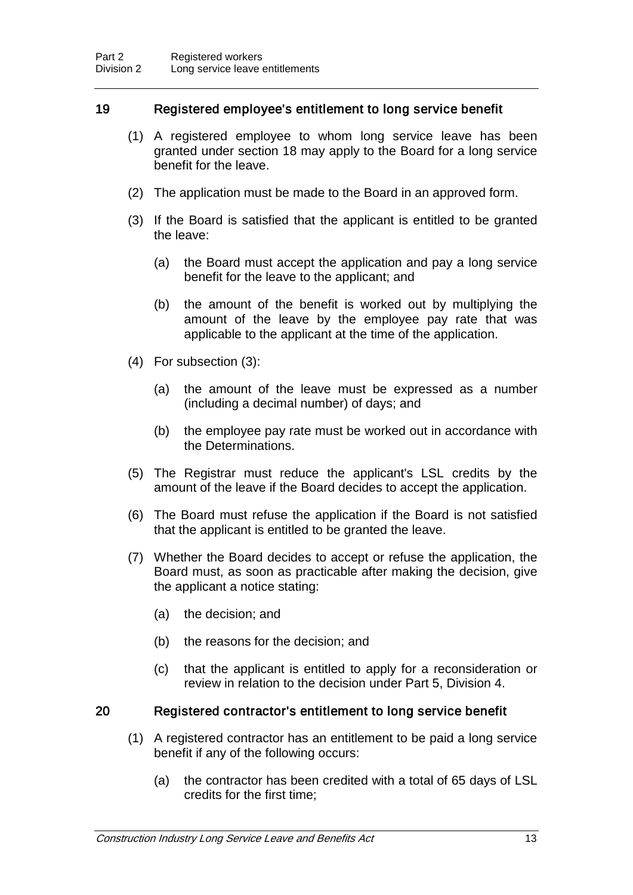## 19 Registered employee's entitlement to long service benefit

- (1) A registered employee to whom long service leave has been granted under section 18 may apply to the Board for a long service benefit for the leave.
- (2) The application must be made to the Board in an approved form.
- (3) If the Board is satisfied that the applicant is entitled to be granted the leave:
	- (a) the Board must accept the application and pay a long service benefit for the leave to the applicant; and
	- (b) the amount of the benefit is worked out by multiplying the amount of the leave by the employee pay rate that was applicable to the applicant at the time of the application.
- (4) For subsection (3):
	- (a) the amount of the leave must be expressed as a number (including a decimal number) of days; and
	- (b) the employee pay rate must be worked out in accordance with the Determinations.
- (5) The Registrar must reduce the applicant's LSL credits by the amount of the leave if the Board decides to accept the application.
- (6) The Board must refuse the application if the Board is not satisfied that the applicant is entitled to be granted the leave.
- (7) Whether the Board decides to accept or refuse the application, the Board must, as soon as practicable after making the decision, give the applicant a notice stating:
	- (a) the decision; and
	- (b) the reasons for the decision; and
	- (c) that the applicant is entitled to apply for a reconsideration or review in relation to the decision under Part 5, Division 4.

#### 20 Registered contractor's entitlement to long service benefit

- (1) A registered contractor has an entitlement to be paid a long service benefit if any of the following occurs:
	- (a) the contractor has been credited with a total of 65 days of LSL credits for the first time;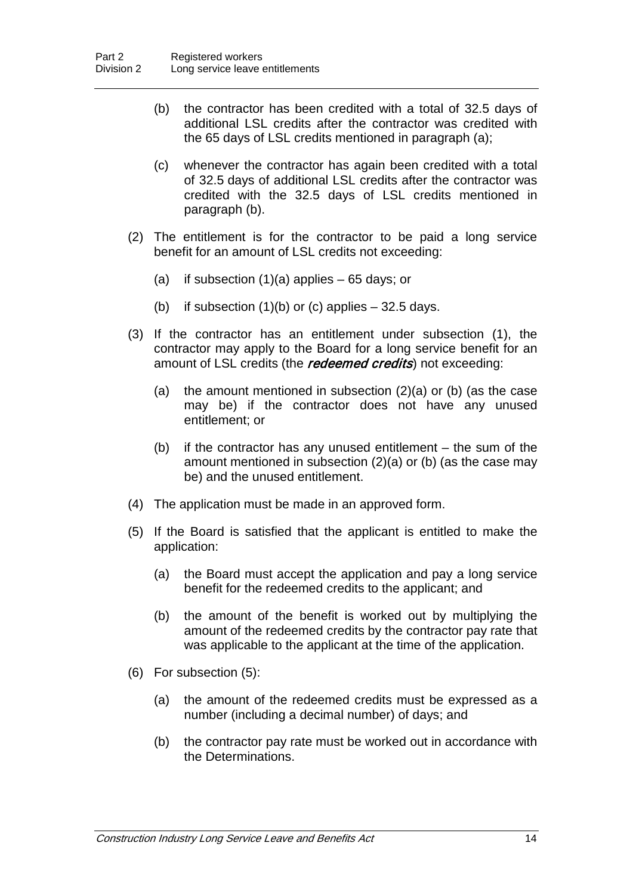- (b) the contractor has been credited with a total of 32.5 days of additional LSL credits after the contractor was credited with the 65 days of LSL credits mentioned in paragraph (a);
- (c) whenever the contractor has again been credited with a total of 32.5 days of additional LSL credits after the contractor was credited with the 32.5 days of LSL credits mentioned in paragraph (b).
- (2) The entitlement is for the contractor to be paid a long service benefit for an amount of LSL credits not exceeding:
	- (a) if subsection  $(1)(a)$  applies  $-65$  days; or
	- (b) if subsection  $(1)(b)$  or (c) applies  $-32.5$  days.
- (3) If the contractor has an entitlement under subsection (1), the contractor may apply to the Board for a long service benefit for an amount of LSL credits (the *redeemed credits*) not exceeding:
	- (a) the amount mentioned in subsection (2)(a) or (b) (as the case may be) if the contractor does not have any unused entitlement; or
	- (b) if the contractor has any unused entitlement the sum of the amount mentioned in subsection (2)(a) or (b) (as the case may be) and the unused entitlement.
- (4) The application must be made in an approved form.
- (5) If the Board is satisfied that the applicant is entitled to make the application:
	- (a) the Board must accept the application and pay a long service benefit for the redeemed credits to the applicant; and
	- (b) the amount of the benefit is worked out by multiplying the amount of the redeemed credits by the contractor pay rate that was applicable to the applicant at the time of the application.
- (6) For subsection (5):
	- (a) the amount of the redeemed credits must be expressed as a number (including a decimal number) of days; and
	- (b) the contractor pay rate must be worked out in accordance with the Determinations.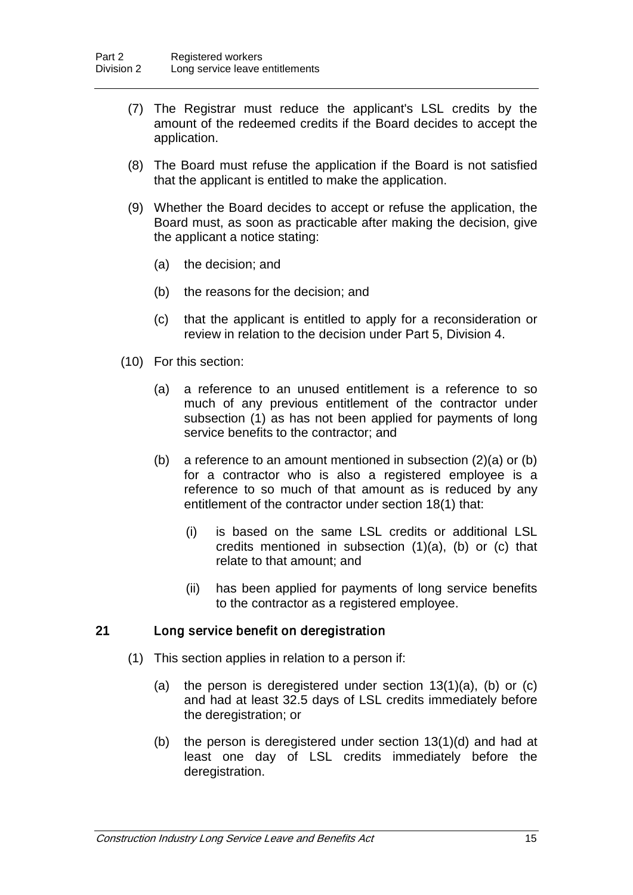- (7) The Registrar must reduce the applicant's LSL credits by the amount of the redeemed credits if the Board decides to accept the application.
- (8) The Board must refuse the application if the Board is not satisfied that the applicant is entitled to make the application.
- (9) Whether the Board decides to accept or refuse the application, the Board must, as soon as practicable after making the decision, give the applicant a notice stating:
	- (a) the decision; and
	- (b) the reasons for the decision; and
	- (c) that the applicant is entitled to apply for a reconsideration or review in relation to the decision under Part 5, Division 4.
- (10) For this section:
	- (a) a reference to an unused entitlement is a reference to so much of any previous entitlement of the contractor under subsection (1) as has not been applied for payments of long service benefits to the contractor; and
	- (b) a reference to an amount mentioned in subsection (2)(a) or (b) for a contractor who is also a registered employee is a reference to so much of that amount as is reduced by any entitlement of the contractor under section 18(1) that:
		- (i) is based on the same LSL credits or additional LSL credits mentioned in subsection  $(1)(a)$ ,  $(b)$  or  $(c)$  that relate to that amount; and
		- (ii) has been applied for payments of long service benefits to the contractor as a registered employee.

#### 21 Long service benefit on deregistration

- (1) This section applies in relation to a person if:
	- (a) the person is deregistered under section 13(1)(a), (b) or (c) and had at least 32.5 days of LSL credits immediately before the deregistration; or
	- (b) the person is deregistered under section 13(1)(d) and had at least one day of LSL credits immediately before the deregistration.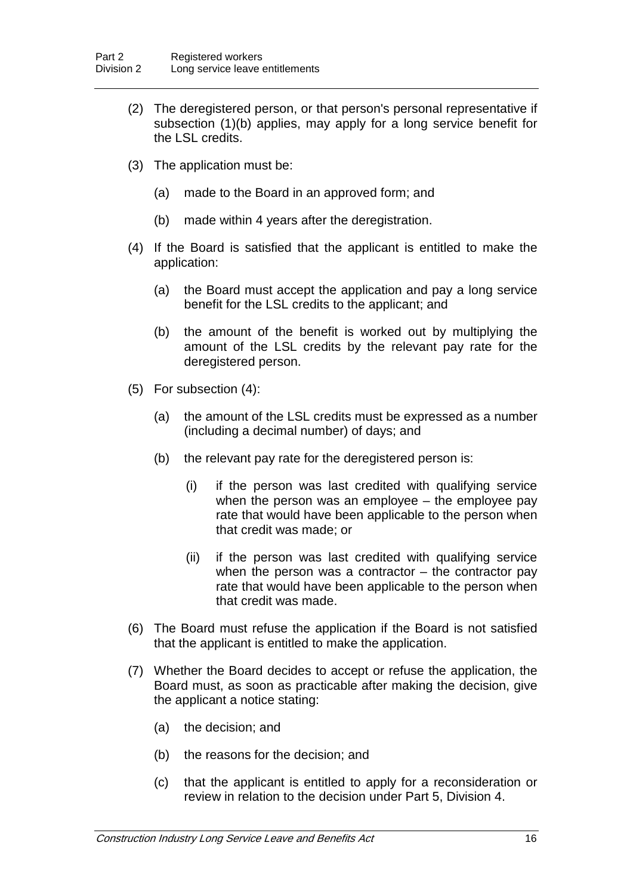- (2) The deregistered person, or that person's personal representative if subsection (1)(b) applies, may apply for a long service benefit for the LSL credits.
- (3) The application must be:
	- (a) made to the Board in an approved form; and
	- (b) made within 4 years after the deregistration.
- (4) If the Board is satisfied that the applicant is entitled to make the application:
	- (a) the Board must accept the application and pay a long service benefit for the LSL credits to the applicant; and
	- (b) the amount of the benefit is worked out by multiplying the amount of the LSL credits by the relevant pay rate for the deregistered person.
- (5) For subsection (4):
	- (a) the amount of the LSL credits must be expressed as a number (including a decimal number) of days; and
	- (b) the relevant pay rate for the deregistered person is:
		- (i) if the person was last credited with qualifying service when the person was an employee – the employee pay rate that would have been applicable to the person when that credit was made; or
		- (ii) if the person was last credited with qualifying service when the person was a contractor  $-$  the contractor pay rate that would have been applicable to the person when that credit was made.
- (6) The Board must refuse the application if the Board is not satisfied that the applicant is entitled to make the application.
- (7) Whether the Board decides to accept or refuse the application, the Board must, as soon as practicable after making the decision, give the applicant a notice stating:
	- (a) the decision; and
	- (b) the reasons for the decision; and
	- (c) that the applicant is entitled to apply for a reconsideration or review in relation to the decision under Part 5, Division 4.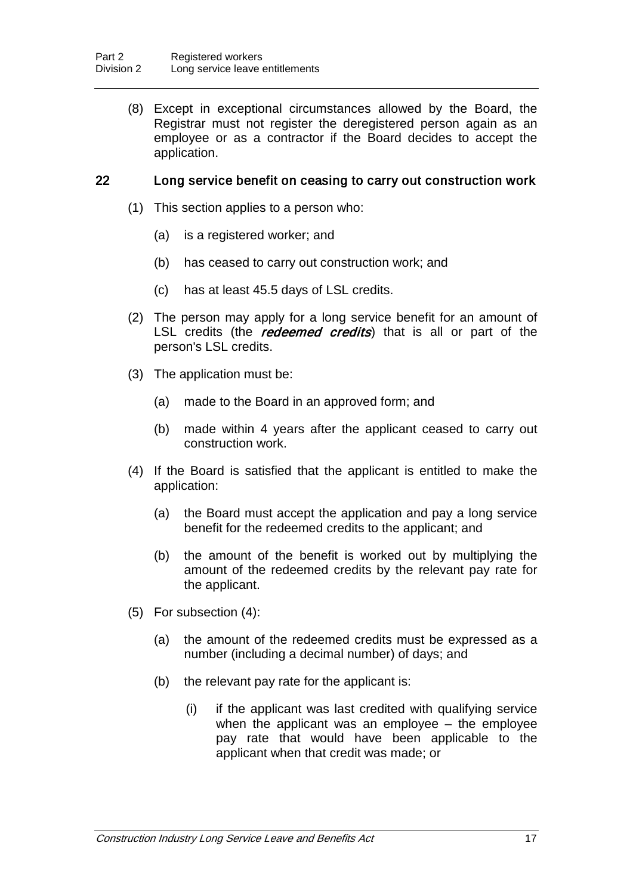(8) Except in exceptional circumstances allowed by the Board, the Registrar must not register the deregistered person again as an employee or as a contractor if the Board decides to accept the application.

### 22 Long service benefit on ceasing to carry out construction work

- (1) This section applies to a person who:
	- (a) is a registered worker; and
	- (b) has ceased to carry out construction work; and
	- (c) has at least 45.5 days of LSL credits.
- (2) The person may apply for a long service benefit for an amount of LSL credits (the *redeemed credits*) that is all or part of the person's LSL credits.
- (3) The application must be:
	- (a) made to the Board in an approved form; and
	- (b) made within 4 years after the applicant ceased to carry out construction work.
- (4) If the Board is satisfied that the applicant is entitled to make the application:
	- (a) the Board must accept the application and pay a long service benefit for the redeemed credits to the applicant; and
	- (b) the amount of the benefit is worked out by multiplying the amount of the redeemed credits by the relevant pay rate for the applicant.
- (5) For subsection (4):
	- (a) the amount of the redeemed credits must be expressed as a number (including a decimal number) of days; and
	- (b) the relevant pay rate for the applicant is:
		- (i) if the applicant was last credited with qualifying service when the applicant was an employee – the employee pay rate that would have been applicable to the applicant when that credit was made; or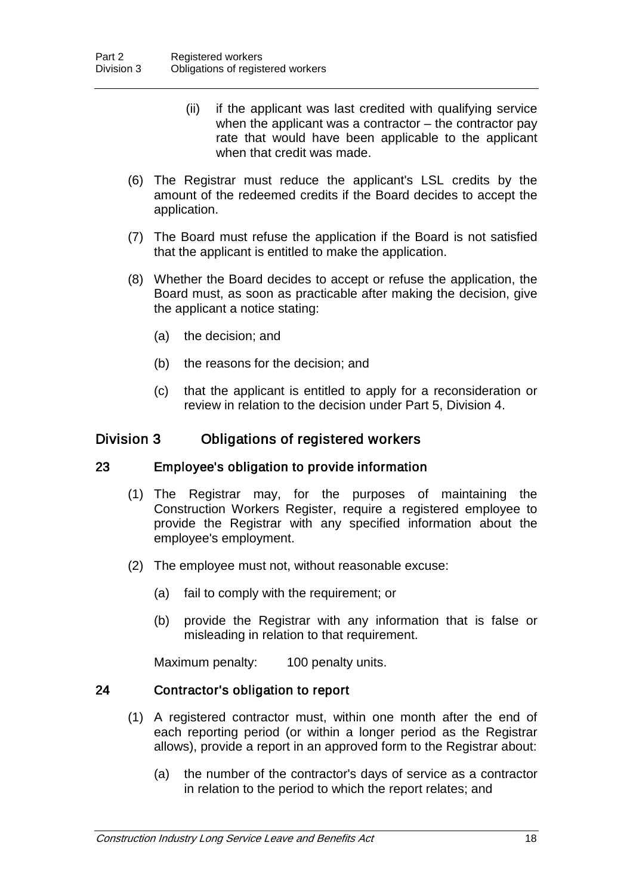- (ii) if the applicant was last credited with qualifying service when the applicant was a contractor  $-$  the contractor pay rate that would have been applicable to the applicant when that credit was made.
- (6) The Registrar must reduce the applicant's LSL credits by the amount of the redeemed credits if the Board decides to accept the application.
- (7) The Board must refuse the application if the Board is not satisfied that the applicant is entitled to make the application.
- (8) Whether the Board decides to accept or refuse the application, the Board must, as soon as practicable after making the decision, give the applicant a notice stating:
	- (a) the decision; and
	- (b) the reasons for the decision; and
	- (c) that the applicant is entitled to apply for a reconsideration or review in relation to the decision under Part 5, Division 4.

## Division 3 Obligations of registered workers

#### 23 Employee's obligation to provide information

- (1) The Registrar may, for the purposes of maintaining the Construction Workers Register, require a registered employee to provide the Registrar with any specified information about the employee's employment.
- (2) The employee must not, without reasonable excuse:
	- (a) fail to comply with the requirement; or
	- (b) provide the Registrar with any information that is false or misleading in relation to that requirement.

Maximum penalty: 100 penalty units.

#### 24 Contractor's obligation to report

- (1) A registered contractor must, within one month after the end of each reporting period (or within a longer period as the Registrar allows), provide a report in an approved form to the Registrar about:
	- (a) the number of the contractor's days of service as a contractor in relation to the period to which the report relates; and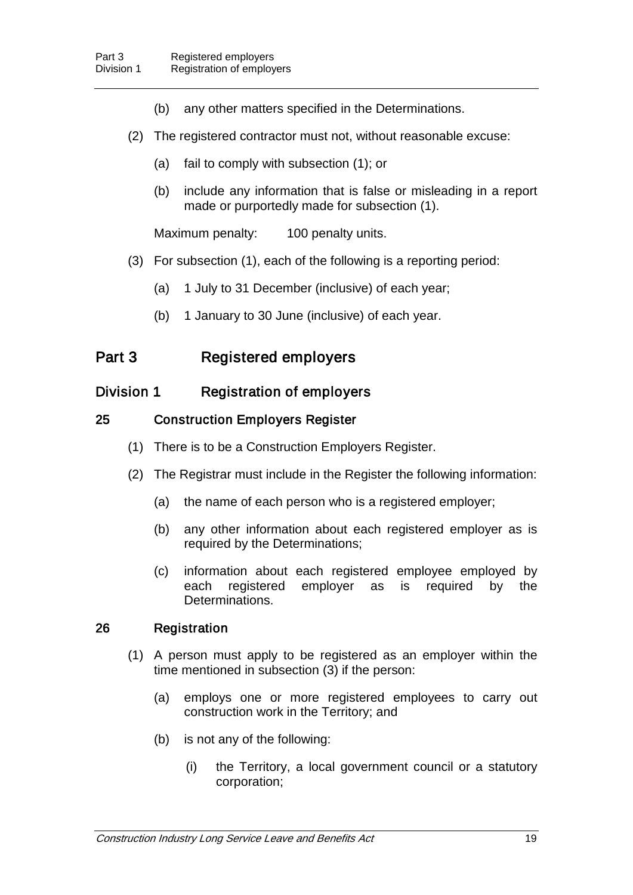- (b) any other matters specified in the Determinations.
- (2) The registered contractor must not, without reasonable excuse:
	- (a) fail to comply with subsection (1); or
	- (b) include any information that is false or misleading in a report made or purportedly made for subsection (1).

Maximum penalty: 100 penalty units.

- (3) For subsection (1), each of the following is a reporting period:
	- (a) 1 July to 31 December (inclusive) of each year;
	- (b) 1 January to 30 June (inclusive) of each year.

## Part 3 Registered employers

## Division 1 Registration of employers

### 25 Construction Employers Register

- (1) There is to be a Construction Employers Register.
- (2) The Registrar must include in the Register the following information:
	- (a) the name of each person who is a registered employer;
	- (b) any other information about each registered employer as is required by the Determinations;
	- (c) information about each registered employee employed by each registered employer as is required by the Determinations.

#### 26 Registration

- (1) A person must apply to be registered as an employer within the time mentioned in subsection (3) if the person:
	- (a) employs one or more registered employees to carry out construction work in the Territory; and
	- (b) is not any of the following:
		- (i) the Territory, a local government council or a statutory corporation;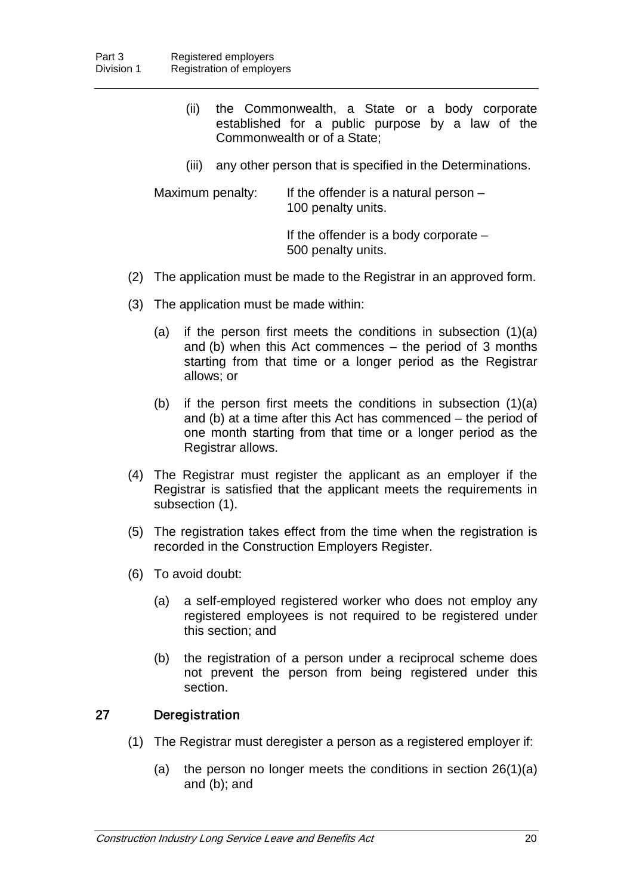- (ii) the Commonwealth, a State or a body corporate established for a public purpose by a law of the Commonwealth or of a State;
- (iii) any other person that is specified in the Determinations.

Maximum penalty: If the offender is a natural person – 100 penalty units.

> If the offender is a body corporate – 500 penalty units.

- (2) The application must be made to the Registrar in an approved form.
- (3) The application must be made within:
	- (a) if the person first meets the conditions in subsection (1)(a) and (b) when this Act commences – the period of 3 months starting from that time or a longer period as the Registrar allows; or
	- (b) if the person first meets the conditions in subsection (1)(a) and (b) at a time after this Act has commenced – the period of one month starting from that time or a longer period as the Registrar allows.
- (4) The Registrar must register the applicant as an employer if the Registrar is satisfied that the applicant meets the requirements in subsection (1).
- (5) The registration takes effect from the time when the registration is recorded in the Construction Employers Register.
- (6) To avoid doubt:
	- (a) a self-employed registered worker who does not employ any registered employees is not required to be registered under this section; and
	- (b) the registration of a person under a reciprocal scheme does not prevent the person from being registered under this section.

### 27 Deregistration

- (1) The Registrar must deregister a person as a registered employer if:
	- (a) the person no longer meets the conditions in section 26(1)(a) and (b); and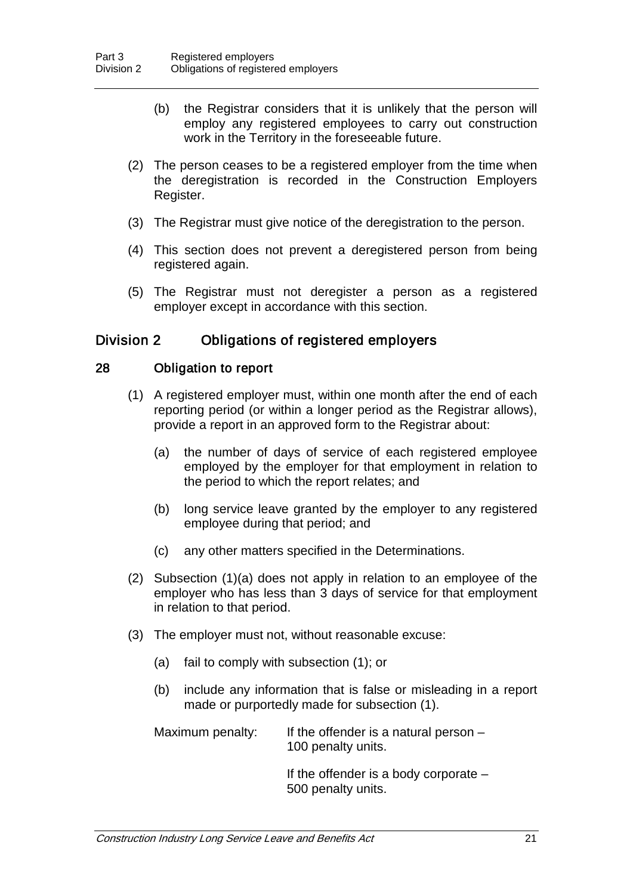- (b) the Registrar considers that it is unlikely that the person will employ any registered employees to carry out construction work in the Territory in the foreseeable future.
- (2) The person ceases to be a registered employer from the time when the deregistration is recorded in the Construction Employers Register.
- (3) The Registrar must give notice of the deregistration to the person.
- (4) This section does not prevent a deregistered person from being registered again.
- (5) The Registrar must not deregister a person as a registered employer except in accordance with this section.

## Division 2 Obligations of registered employers

#### 28 Obligation to report

- (1) A registered employer must, within one month after the end of each reporting period (or within a longer period as the Registrar allows), provide a report in an approved form to the Registrar about:
	- (a) the number of days of service of each registered employee employed by the employer for that employment in relation to the period to which the report relates; and
	- (b) long service leave granted by the employer to any registered employee during that period; and
	- (c) any other matters specified in the Determinations.
- (2) Subsection (1)(a) does not apply in relation to an employee of the employer who has less than 3 days of service for that employment in relation to that period.
- (3) The employer must not, without reasonable excuse:
	- (a) fail to comply with subsection (1); or
	- (b) include any information that is false or misleading in a report made or purportedly made for subsection (1).

Maximum penalty: If the offender is a natural person -100 penalty units.

> If the offender is a body corporate – 500 penalty units.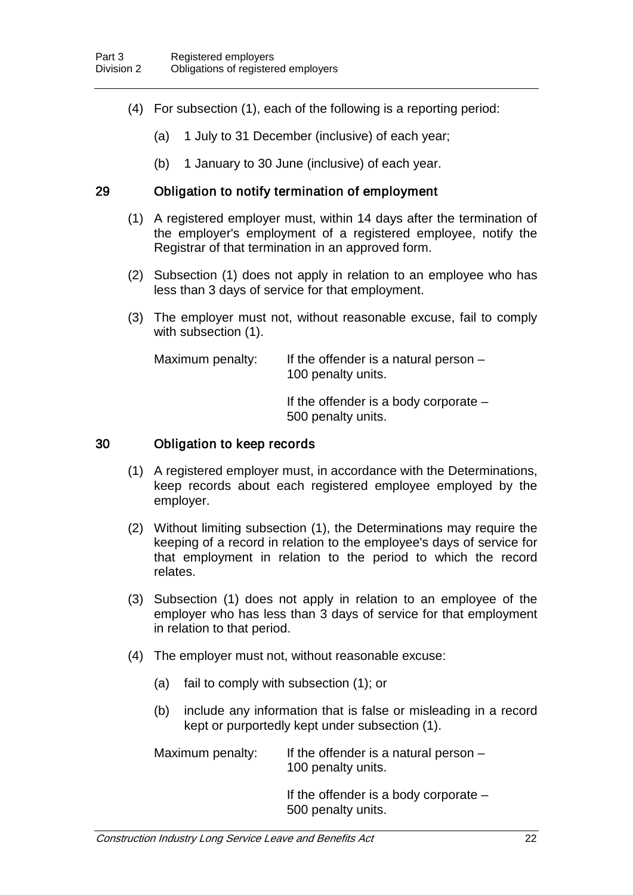- (4) For subsection (1), each of the following is a reporting period:
	- (a) 1 July to 31 December (inclusive) of each year;
	- (b) 1 January to 30 June (inclusive) of each year.

## 29 Obligation to notify termination of employment

- (1) A registered employer must, within 14 days after the termination of the employer's employment of a registered employee, notify the Registrar of that termination in an approved form.
- (2) Subsection (1) does not apply in relation to an employee who has less than 3 days of service for that employment.
- (3) The employer must not, without reasonable excuse, fail to comply with subsection (1).

| Maximum penalty: | If the offender is a natural person $-$<br>100 penalty units. |
|------------------|---------------------------------------------------------------|
|                  | If the offender is a body corporate $-$<br>500 penalty units. |

#### 30 Obligation to keep records

- (1) A registered employer must, in accordance with the Determinations, keep records about each registered employee employed by the employer.
- (2) Without limiting subsection (1), the Determinations may require the keeping of a record in relation to the employee's days of service for that employment in relation to the period to which the record relates.
- (3) Subsection (1) does not apply in relation to an employee of the employer who has less than 3 days of service for that employment in relation to that period.
- (4) The employer must not, without reasonable excuse:
	- (a) fail to comply with subsection (1); or
	- (b) include any information that is false or misleading in a record kept or purportedly kept under subsection (1).

Maximum penalty: If the offender is a natural person  $-$ 100 penalty units.

> If the offender is a body corporate – 500 penalty units.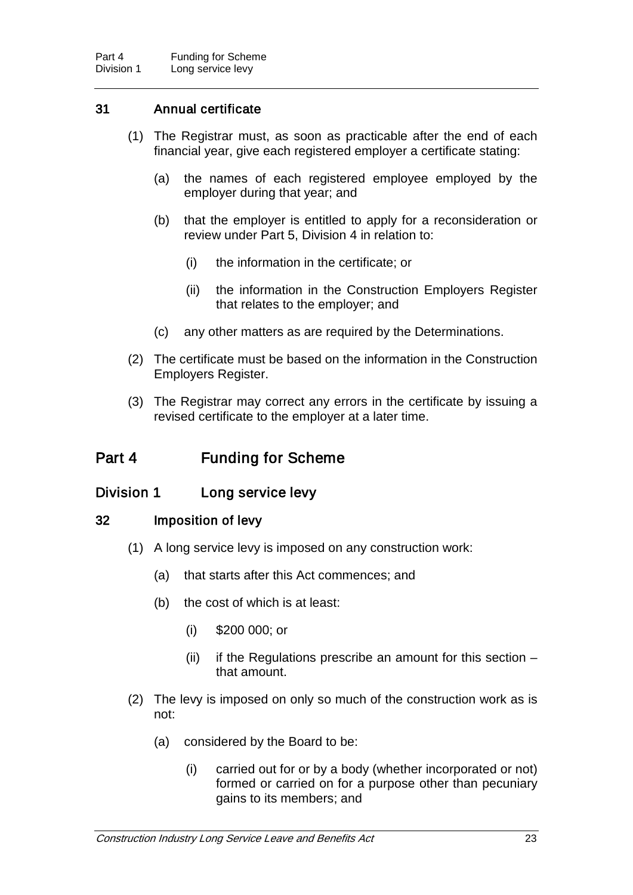## 31 Annual certificate

- (1) The Registrar must, as soon as practicable after the end of each financial year, give each registered employer a certificate stating:
	- (a) the names of each registered employee employed by the employer during that year; and
	- (b) that the employer is entitled to apply for a reconsideration or review under Part 5, Division 4 in relation to:
		- (i) the information in the certificate; or
		- (ii) the information in the Construction Employers Register that relates to the employer; and
	- (c) any other matters as are required by the Determinations.
- (2) The certificate must be based on the information in the Construction Employers Register.
- (3) The Registrar may correct any errors in the certificate by issuing a revised certificate to the employer at a later time.

## Part 4 Funding for Scheme

## Division 1 Long service levy

## 32 Imposition of levy

- (1) A long service levy is imposed on any construction work:
	- (a) that starts after this Act commences; and
	- (b) the cost of which is at least:
		- (i) \$200 000; or
		- (ii) if the Regulations prescribe an amount for this section  $$ that amount.
- (2) The levy is imposed on only so much of the construction work as is not:
	- (a) considered by the Board to be:
		- (i) carried out for or by a body (whether incorporated or not) formed or carried on for a purpose other than pecuniary gains to its members; and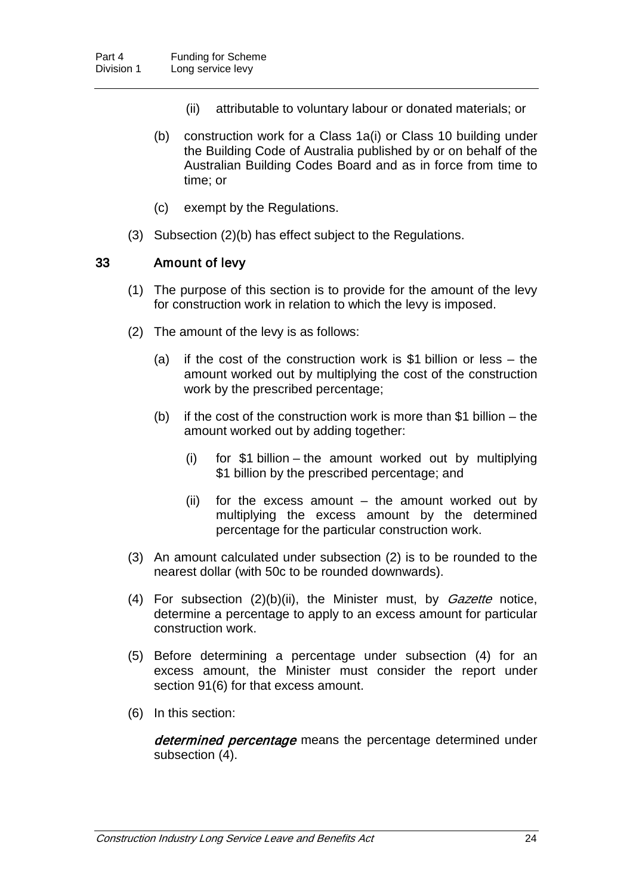- (ii) attributable to voluntary labour or donated materials; or
- (b) construction work for a Class 1a(i) or Class 10 building under the Building Code of Australia published by or on behalf of the Australian Building Codes Board and as in force from time to time; or
- (c) exempt by the Regulations.
- (3) Subsection (2)(b) has effect subject to the Regulations.

### 33 Amount of levy

- (1) The purpose of this section is to provide for the amount of the levy for construction work in relation to which the levy is imposed.
- (2) The amount of the levy is as follows:
	- (a) if the cost of the construction work is \$1 billion or less the amount worked out by multiplying the cost of the construction work by the prescribed percentage;
	- (b) if the cost of the construction work is more than  $$1$  billion the amount worked out by adding together:
		- (i) for \$1 billion the amount worked out by multiplying \$1 billion by the prescribed percentage; and
		- (ii) for the excess amount  $-$  the amount worked out by multiplying the excess amount by the determined percentage for the particular construction work.
- (3) An amount calculated under subsection (2) is to be rounded to the nearest dollar (with 50c to be rounded downwards).
- (4) For subsection  $(2)(b)(ii)$ , the Minister must, by *Gazette* notice, determine a percentage to apply to an excess amount for particular construction work.
- (5) Before determining a percentage under subsection (4) for an excess amount, the Minister must consider the report under section 91(6) for that excess amount.
- (6) In this section:

determined percentage means the percentage determined under subsection (4).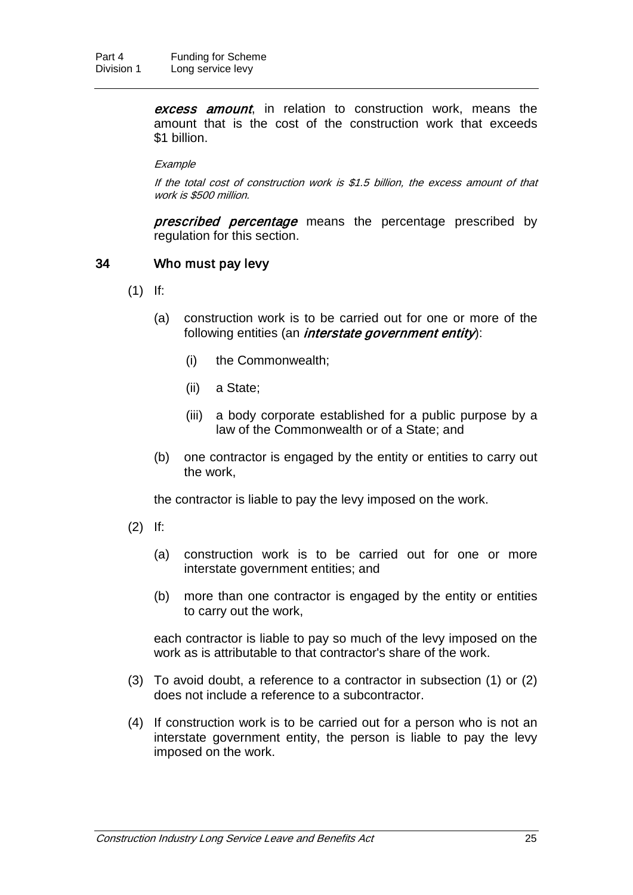**excess amount**, in relation to construction work, means the amount that is the cost of the construction work that exceeds \$1 billion.

#### **Example**

If the total cost of construction work is \$1.5 billion, the excess amount of that work is \$500 million.

**prescribed percentage** means the percentage prescribed by regulation for this section.

#### 34 Who must pay levy

- (1) If:
	- (a) construction work is to be carried out for one or more of the following entities (an *interstate government entity*):
		- (i) the Commonwealth;
		- (ii) a State;
		- (iii) a body corporate established for a public purpose by a law of the Commonwealth or of a State; and
	- (b) one contractor is engaged by the entity or entities to carry out the work,

the contractor is liable to pay the levy imposed on the work.

- (2) If:
	- (a) construction work is to be carried out for one or more interstate government entities; and
	- (b) more than one contractor is engaged by the entity or entities to carry out the work,

each contractor is liable to pay so much of the levy imposed on the work as is attributable to that contractor's share of the work.

- (3) To avoid doubt, a reference to a contractor in subsection (1) or (2) does not include a reference to a subcontractor.
- (4) If construction work is to be carried out for a person who is not an interstate government entity, the person is liable to pay the levy imposed on the work.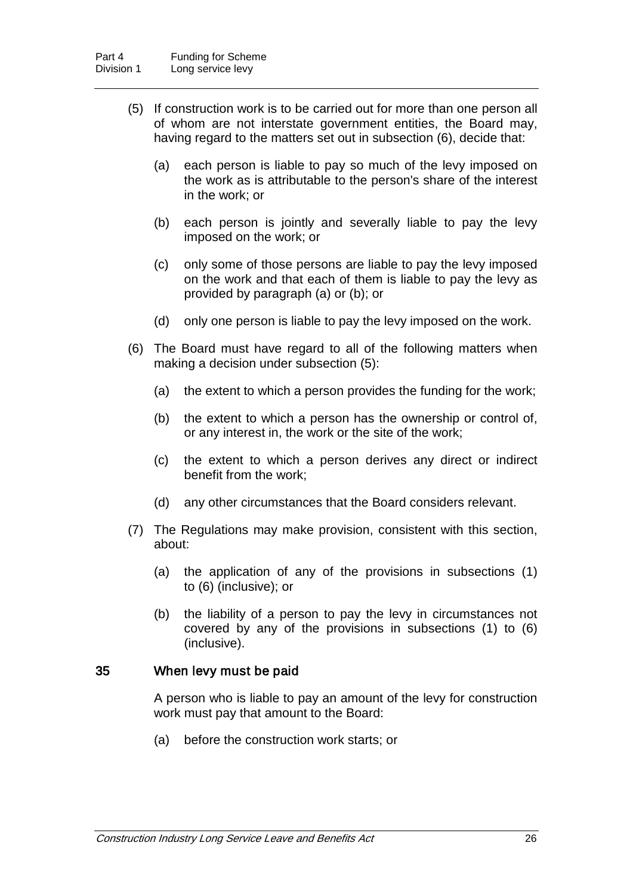- (5) If construction work is to be carried out for more than one person all of whom are not interstate government entities, the Board may, having regard to the matters set out in subsection (6), decide that:
	- (a) each person is liable to pay so much of the levy imposed on the work as is attributable to the person's share of the interest in the work; or
	- (b) each person is jointly and severally liable to pay the levy imposed on the work; or
	- (c) only some of those persons are liable to pay the levy imposed on the work and that each of them is liable to pay the levy as provided by paragraph (a) or (b); or
	- (d) only one person is liable to pay the levy imposed on the work.
- (6) The Board must have regard to all of the following matters when making a decision under subsection (5):
	- (a) the extent to which a person provides the funding for the work;
	- (b) the extent to which a person has the ownership or control of, or any interest in, the work or the site of the work;
	- (c) the extent to which a person derives any direct or indirect benefit from the work;
	- (d) any other circumstances that the Board considers relevant.
- (7) The Regulations may make provision, consistent with this section, about:
	- (a) the application of any of the provisions in subsections (1) to (6) (inclusive); or
	- (b) the liability of a person to pay the levy in circumstances not covered by any of the provisions in subsections (1) to (6) (inclusive).

#### 35 When levy must be paid

A person who is liable to pay an amount of the levy for construction work must pay that amount to the Board:

(a) before the construction work starts; or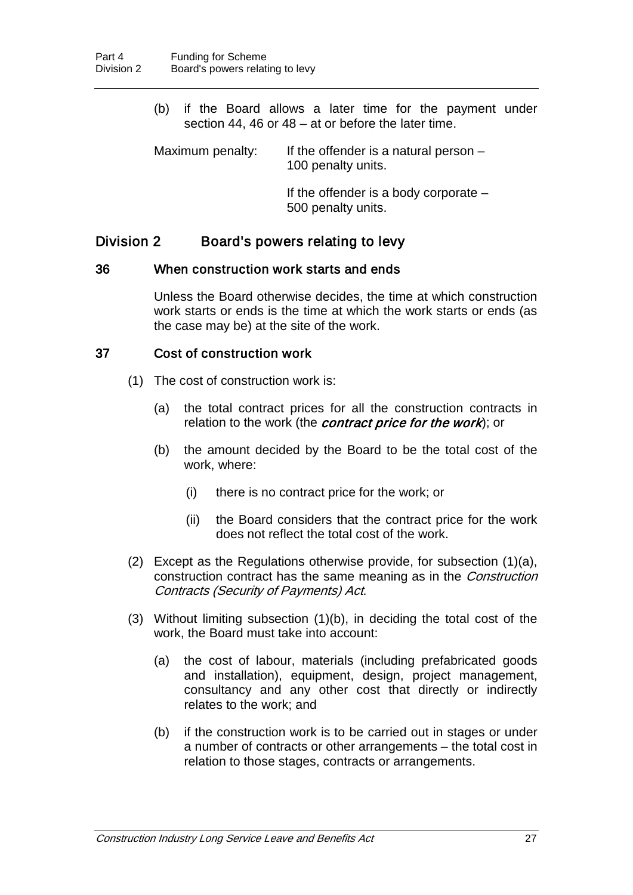(b) if the Board allows a later time for the payment under section 44, 46 or 48 – at or before the later time.

Maximum penalty: If the offender is a natural person  $-$ 100 penalty units.

> If the offender is a body corporate – 500 penalty units.

## Division 2 Board's powers relating to levy

#### 36 When construction work starts and ends

Unless the Board otherwise decides, the time at which construction work starts or ends is the time at which the work starts or ends (as the case may be) at the site of the work.

### 37 Cost of construction work

- (1) The cost of construction work is:
	- (a) the total contract prices for all the construction contracts in relation to the work (the *contract price for the work*); or
	- (b) the amount decided by the Board to be the total cost of the work, where:
		- (i) there is no contract price for the work; or
		- (ii) the Board considers that the contract price for the work does not reflect the total cost of the work.
- (2) Except as the Regulations otherwise provide, for subsection (1)(a), construction contract has the same meaning as in the Construction Contracts (Security of Payments) Act.
- (3) Without limiting subsection (1)(b), in deciding the total cost of the work, the Board must take into account:
	- (a) the cost of labour, materials (including prefabricated goods and installation), equipment, design, project management, consultancy and any other cost that directly or indirectly relates to the work; and
	- (b) if the construction work is to be carried out in stages or under a number of contracts or other arrangements – the total cost in relation to those stages, contracts or arrangements.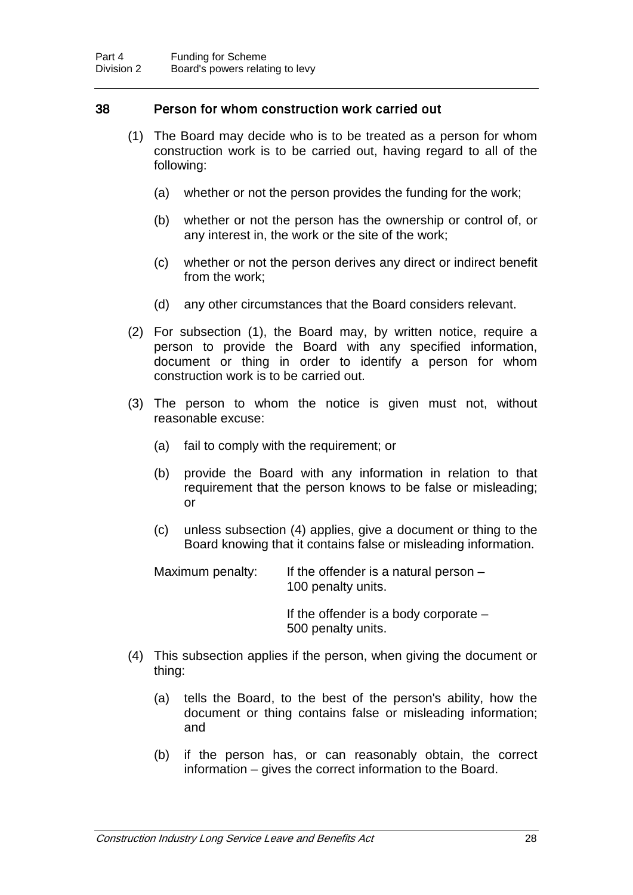### 38 Person for whom construction work carried out

- (1) The Board may decide who is to be treated as a person for whom construction work is to be carried out, having regard to all of the following:
	- (a) whether or not the person provides the funding for the work;
	- (b) whether or not the person has the ownership or control of, or any interest in, the work or the site of the work;
	- (c) whether or not the person derives any direct or indirect benefit from the work;
	- (d) any other circumstances that the Board considers relevant.
- (2) For subsection (1), the Board may, by written notice, require a person to provide the Board with any specified information, document or thing in order to identify a person for whom construction work is to be carried out.
- (3) The person to whom the notice is given must not, without reasonable excuse:
	- (a) fail to comply with the requirement; or
	- (b) provide the Board with any information in relation to that requirement that the person knows to be false or misleading; or
	- (c) unless subsection (4) applies, give a document or thing to the Board knowing that it contains false or misleading information.
	- Maximum penalty: If the offender is a natural person  $-$ 100 penalty units.

If the offender is a body corporate – 500 penalty units.

- (4) This subsection applies if the person, when giving the document or thing:
	- (a) tells the Board, to the best of the person's ability, how the document or thing contains false or misleading information; and
	- (b) if the person has, or can reasonably obtain, the correct information – gives the correct information to the Board.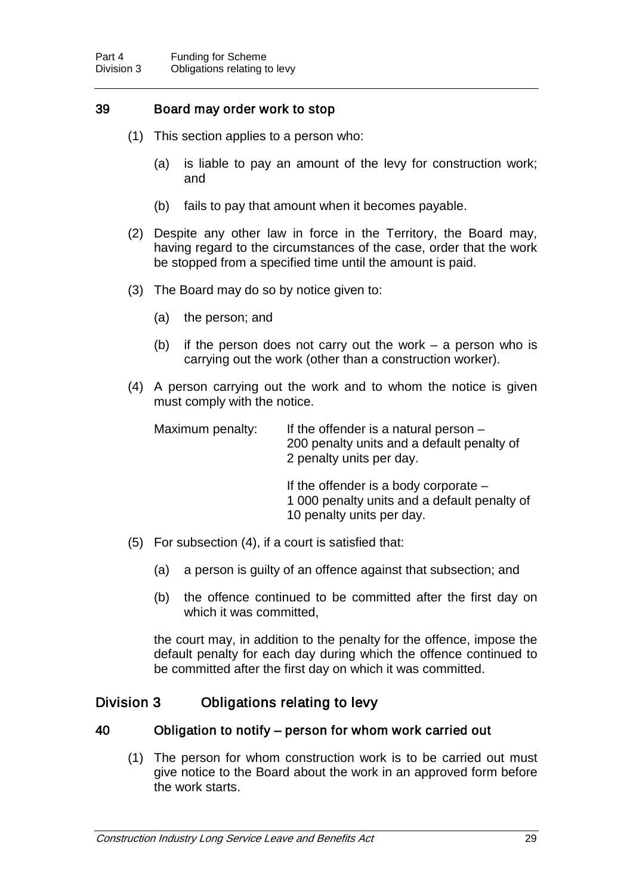## 39 Board may order work to stop

- (1) This section applies to a person who:
	- (a) is liable to pay an amount of the levy for construction work; and
	- (b) fails to pay that amount when it becomes payable.
- (2) Despite any other law in force in the Territory, the Board may, having regard to the circumstances of the case, order that the work be stopped from a specified time until the amount is paid.
- (3) The Board may do so by notice given to:
	- (a) the person; and
	- (b) if the person does not carry out the work a person who is carrying out the work (other than a construction worker).
- (4) A person carrying out the work and to whom the notice is given must comply with the notice.

| Maximum penalty: | If the offender is a natural person $-$<br>200 penalty units and a default penalty of<br>2 penalty units per day.    |
|------------------|----------------------------------------------------------------------------------------------------------------------|
|                  | If the offender is a body corporate $-$<br>1 000 penalty units and a default penalty of<br>10 penalty units per day. |

- (5) For subsection (4), if a court is satisfied that:
	- (a) a person is guilty of an offence against that subsection; and
	- (b) the offence continued to be committed after the first day on which it was committed.

the court may, in addition to the penalty for the offence, impose the default penalty for each day during which the offence continued to be committed after the first day on which it was committed.

## Division 3 Obligations relating to levy

### 40 Obligation to notify – person for whom work carried out

(1) The person for whom construction work is to be carried out must give notice to the Board about the work in an approved form before the work starts.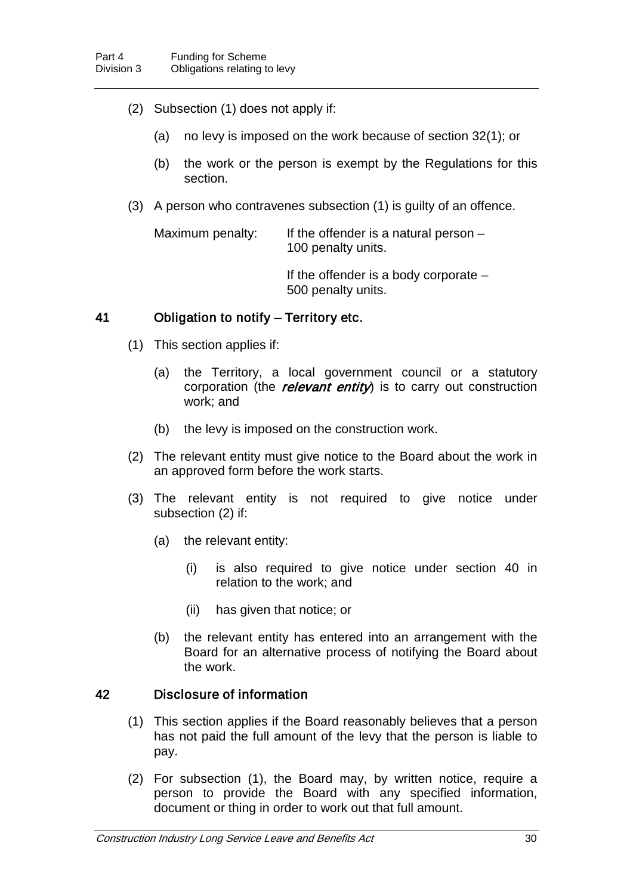- (2) Subsection (1) does not apply if:
	- (a) no levy is imposed on the work because of section 32(1); or
	- (b) the work or the person is exempt by the Regulations for this section.
- (3) A person who contravenes subsection (1) is guilty of an offence.

Maximum penalty: If the offender is a natural person – 100 penalty units.

> If the offender is a body corporate – 500 penalty units.

### 41 Obligation to notify – Territory etc.

- (1) This section applies if:
	- (a) the Territory, a local government council or a statutory corporation (the relevant entity) is to carry out construction work; and
	- (b) the levy is imposed on the construction work.
- (2) The relevant entity must give notice to the Board about the work in an approved form before the work starts.
- (3) The relevant entity is not required to give notice under subsection (2) if:
	- (a) the relevant entity:
		- (i) is also required to give notice under section 40 in relation to the work; and
		- (ii) has given that notice; or
	- (b) the relevant entity has entered into an arrangement with the Board for an alternative process of notifying the Board about the work.

## 42 Disclosure of information

- (1) This section applies if the Board reasonably believes that a person has not paid the full amount of the levy that the person is liable to pay.
- (2) For subsection (1), the Board may, by written notice, require a person to provide the Board with any specified information, document or thing in order to work out that full amount.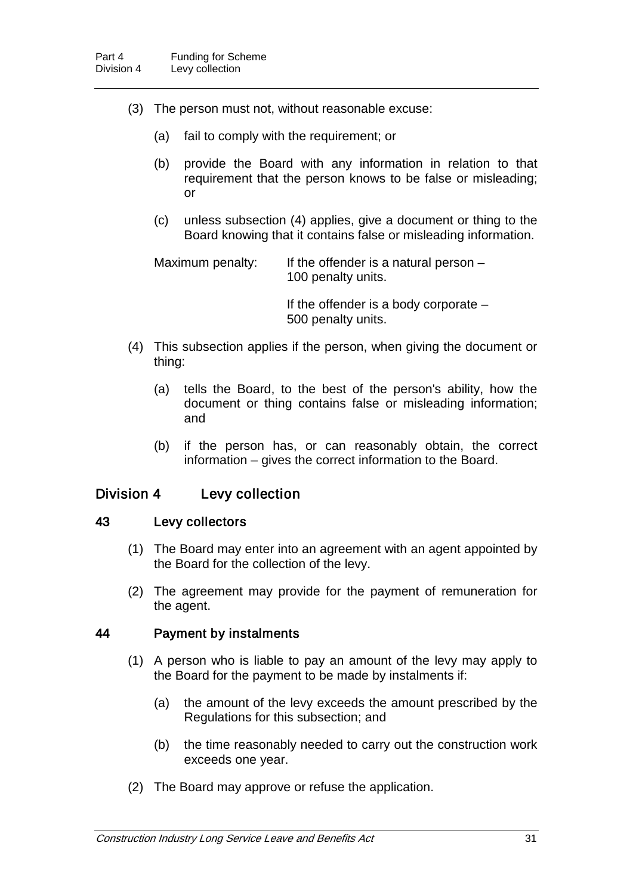- (3) The person must not, without reasonable excuse:
	- (a) fail to comply with the requirement; or
	- (b) provide the Board with any information in relation to that requirement that the person knows to be false or misleading; or
	- (c) unless subsection (4) applies, give a document or thing to the Board knowing that it contains false or misleading information.

Maximum penalty: If the offender is a natural person  $-$ 100 penalty units.

> If the offender is a body corporate – 500 penalty units.

- (4) This subsection applies if the person, when giving the document or thing:
	- (a) tells the Board, to the best of the person's ability, how the document or thing contains false or misleading information; and
	- (b) if the person has, or can reasonably obtain, the correct information – gives the correct information to the Board.

## Division 4 Levy collection

#### 43 Levy collectors

- (1) The Board may enter into an agreement with an agent appointed by the Board for the collection of the levy.
- (2) The agreement may provide for the payment of remuneration for the agent.

#### 44 Payment by instalments

- (1) A person who is liable to pay an amount of the levy may apply to the Board for the payment to be made by instalments if:
	- (a) the amount of the levy exceeds the amount prescribed by the Regulations for this subsection; and
	- (b) the time reasonably needed to carry out the construction work exceeds one year.
- (2) The Board may approve or refuse the application.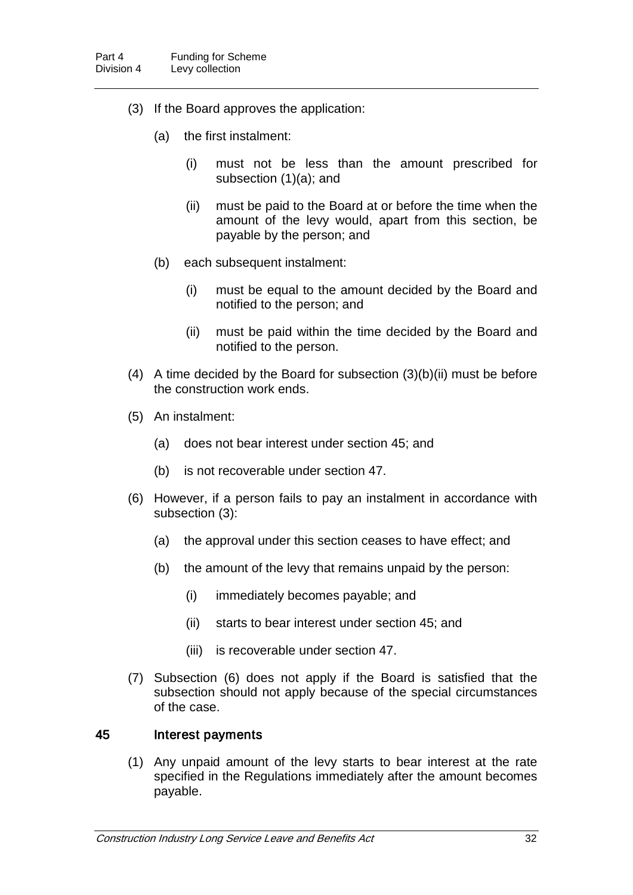- (3) If the Board approves the application:
	- (a) the first instalment:
		- (i) must not be less than the amount prescribed for subsection (1)(a); and
		- (ii) must be paid to the Board at or before the time when the amount of the levy would, apart from this section, be payable by the person; and
	- (b) each subsequent instalment:
		- (i) must be equal to the amount decided by the Board and notified to the person; and
		- (ii) must be paid within the time decided by the Board and notified to the person.
- (4) A time decided by the Board for subsection (3)(b)(ii) must be before the construction work ends.
- (5) An instalment:
	- (a) does not bear interest under section 45; and
	- (b) is not recoverable under section 47.
- (6) However, if a person fails to pay an instalment in accordance with subsection (3):
	- (a) the approval under this section ceases to have effect; and
	- (b) the amount of the levy that remains unpaid by the person:
		- (i) immediately becomes payable; and
		- (ii) starts to bear interest under section 45; and
		- (iii) is recoverable under section 47.
- (7) Subsection (6) does not apply if the Board is satisfied that the subsection should not apply because of the special circumstances of the case.

#### 45 Interest payments

(1) Any unpaid amount of the levy starts to bear interest at the rate specified in the Regulations immediately after the amount becomes payable.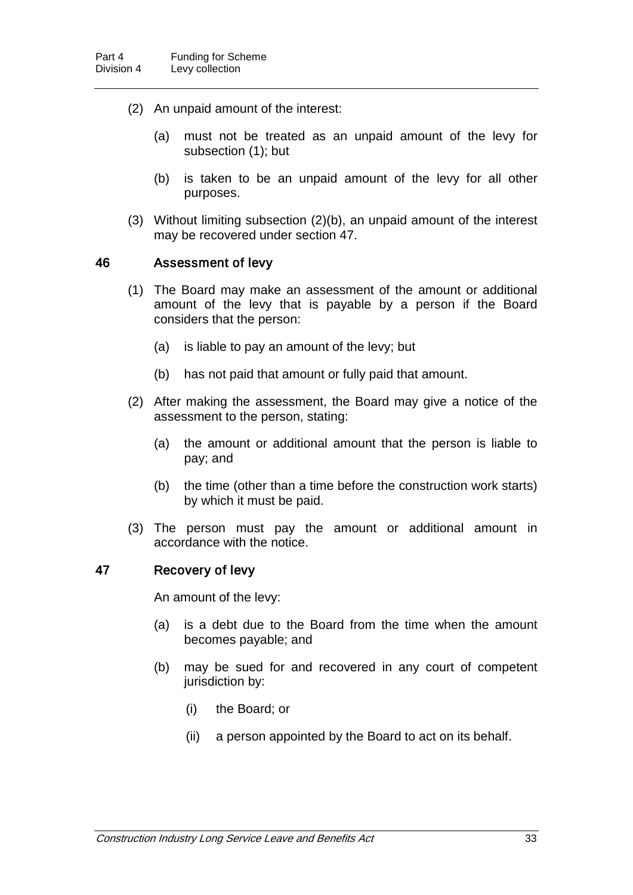- (2) An unpaid amount of the interest:
	- (a) must not be treated as an unpaid amount of the levy for subsection (1); but
	- (b) is taken to be an unpaid amount of the levy for all other purposes.
- (3) Without limiting subsection (2)(b), an unpaid amount of the interest may be recovered under section 47.

#### 46 Assessment of levy

- (1) The Board may make an assessment of the amount or additional amount of the levy that is payable by a person if the Board considers that the person:
	- (a) is liable to pay an amount of the levy; but
	- (b) has not paid that amount or fully paid that amount.
- (2) After making the assessment, the Board may give a notice of the assessment to the person, stating:
	- (a) the amount or additional amount that the person is liable to pay; and
	- (b) the time (other than a time before the construction work starts) by which it must be paid.
- (3) The person must pay the amount or additional amount in accordance with the notice.

#### 47 Recovery of levy

An amount of the levy:

- (a) is a debt due to the Board from the time when the amount becomes payable; and
- (b) may be sued for and recovered in any court of competent jurisdiction by:
	- (i) the Board; or
	- (ii) a person appointed by the Board to act on its behalf.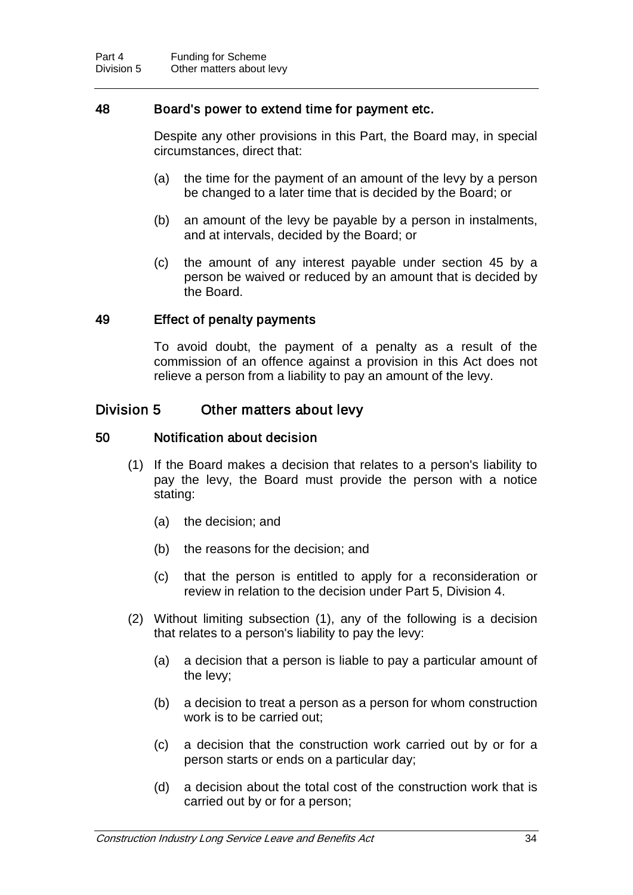### 48 Board's power to extend time for payment etc.

Despite any other provisions in this Part, the Board may, in special circumstances, direct that:

- (a) the time for the payment of an amount of the levy by a person be changed to a later time that is decided by the Board; or
- (b) an amount of the levy be payable by a person in instalments, and at intervals, decided by the Board; or
- (c) the amount of any interest payable under section 45 by a person be waived or reduced by an amount that is decided by the Board.

#### 49 Effect of penalty payments

To avoid doubt, the payment of a penalty as a result of the commission of an offence against a provision in this Act does not relieve a person from a liability to pay an amount of the levy.

### Division 5 Other matters about levy

#### 50 Notification about decision

- (1) If the Board makes a decision that relates to a person's liability to pay the levy, the Board must provide the person with a notice stating:
	- (a) the decision; and
	- (b) the reasons for the decision; and
	- (c) that the person is entitled to apply for a reconsideration or review in relation to the decision under Part 5, Division 4.
- (2) Without limiting subsection (1), any of the following is a decision that relates to a person's liability to pay the levy:
	- (a) a decision that a person is liable to pay a particular amount of the levy;
	- (b) a decision to treat a person as a person for whom construction work is to be carried out;
	- (c) a decision that the construction work carried out by or for a person starts or ends on a particular day;
	- (d) a decision about the total cost of the construction work that is carried out by or for a person;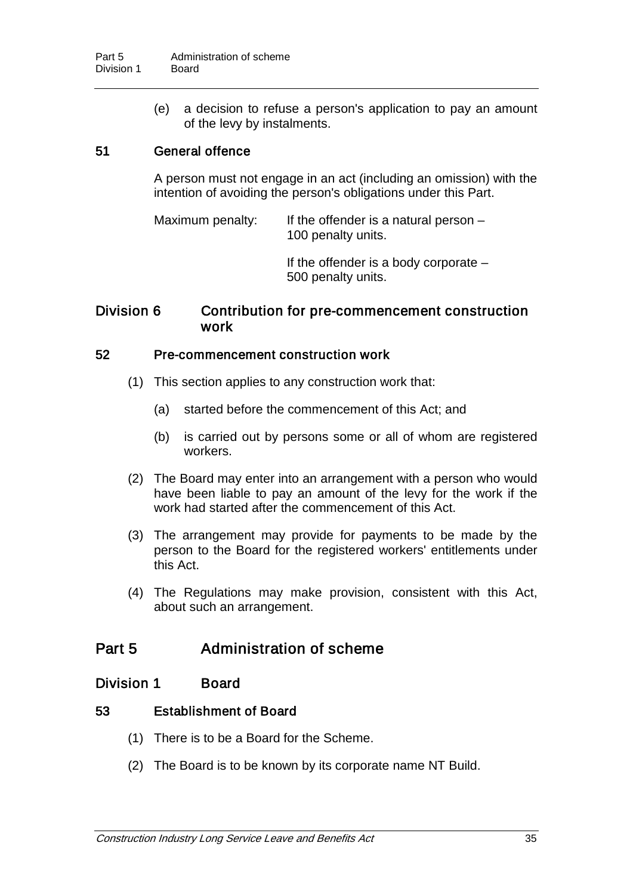(e) a decision to refuse a person's application to pay an amount of the levy by instalments.

## 51 General offence

A person must not engage in an act (including an omission) with the intention of avoiding the person's obligations under this Part.

Maximum penalty: If the offender is a natural person – 100 penalty units.

> If the offender is a body corporate – 500 penalty units.

## Division 6 Contribution for pre-commencement construction work

#### 52 Pre-commencement construction work

- (1) This section applies to any construction work that:
	- (a) started before the commencement of this Act; and
	- (b) is carried out by persons some or all of whom are registered workers.
- (2) The Board may enter into an arrangement with a person who would have been liable to pay an amount of the levy for the work if the work had started after the commencement of this Act.
- (3) The arrangement may provide for payments to be made by the person to the Board for the registered workers' entitlements under this Act.
- (4) The Regulations may make provision, consistent with this Act, about such an arrangement.

## Part 5 Administration of scheme

#### Division 1 Board

#### 53 Establishment of Board

- (1) There is to be a Board for the Scheme.
- (2) The Board is to be known by its corporate name NT Build.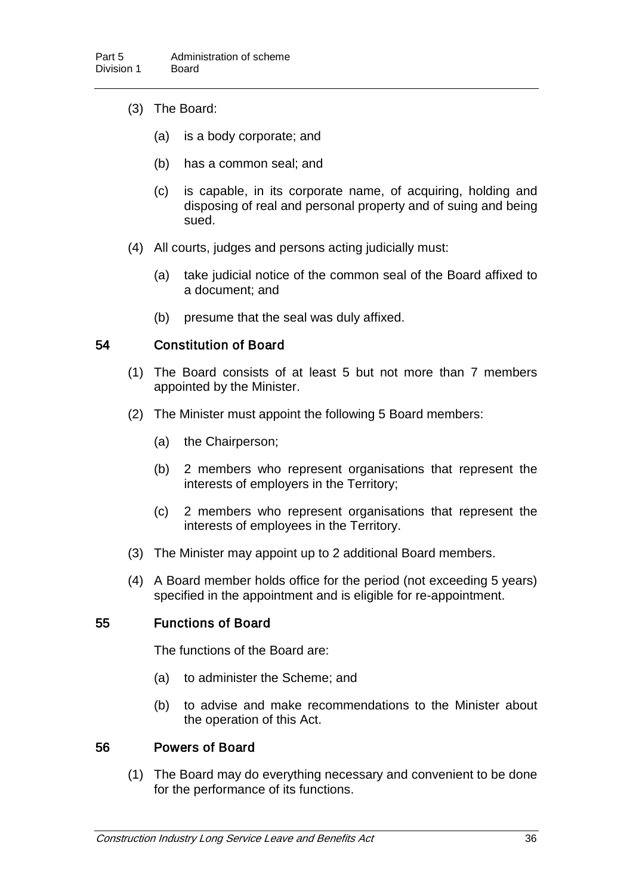- (3) The Board:
	- (a) is a body corporate; and
	- (b) has a common seal; and
	- (c) is capable, in its corporate name, of acquiring, holding and disposing of real and personal property and of suing and being sued.
- (4) All courts, judges and persons acting judicially must:
	- (a) take judicial notice of the common seal of the Board affixed to a document; and
	- (b) presume that the seal was duly affixed.

#### 54 Constitution of Board

- (1) The Board consists of at least 5 but not more than 7 members appointed by the Minister.
- (2) The Minister must appoint the following 5 Board members:
	- (a) the Chairperson;
	- (b) 2 members who represent organisations that represent the interests of employers in the Territory;
	- (c) 2 members who represent organisations that represent the interests of employees in the Territory.
- (3) The Minister may appoint up to 2 additional Board members.
- (4) A Board member holds office for the period (not exceeding 5 years) specified in the appointment and is eligible for re-appointment.

### 55 Functions of Board

The functions of the Board are:

- (a) to administer the Scheme; and
- (b) to advise and make recommendations to the Minister about the operation of this Act.

#### 56 Powers of Board

(1) The Board may do everything necessary and convenient to be done for the performance of its functions.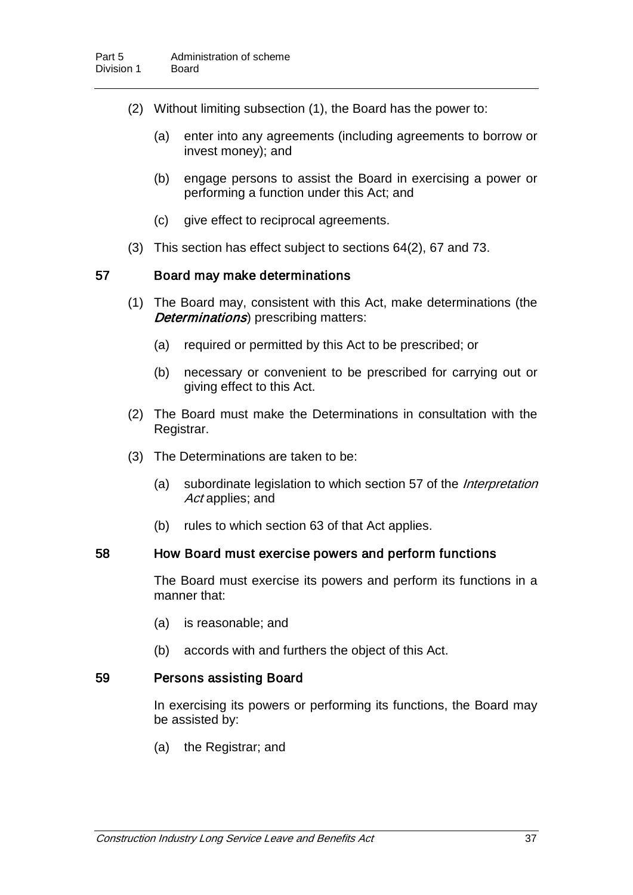- (2) Without limiting subsection (1), the Board has the power to:
	- (a) enter into any agreements (including agreements to borrow or invest money); and
	- (b) engage persons to assist the Board in exercising a power or performing a function under this Act; and
	- (c) give effect to reciprocal agreements.
- (3) This section has effect subject to sections 64(2), 67 and 73.

#### 57 Board may make determinations

- (1) The Board may, consistent with this Act, make determinations (the **Determinations**) prescribing matters:
	- (a) required or permitted by this Act to be prescribed; or
	- (b) necessary or convenient to be prescribed for carrying out or giving effect to this Act.
- (2) The Board must make the Determinations in consultation with the Registrar.
- (3) The Determinations are taken to be:
	- (a) subordinate legislation to which section 57 of the *Interpretation* Act applies; and
	- (b) rules to which section 63 of that Act applies.

#### 58 How Board must exercise powers and perform functions

The Board must exercise its powers and perform its functions in a manner that:

- (a) is reasonable; and
- (b) accords with and furthers the object of this Act.

#### 59 Persons assisting Board

In exercising its powers or performing its functions, the Board may be assisted by:

(a) the Registrar; and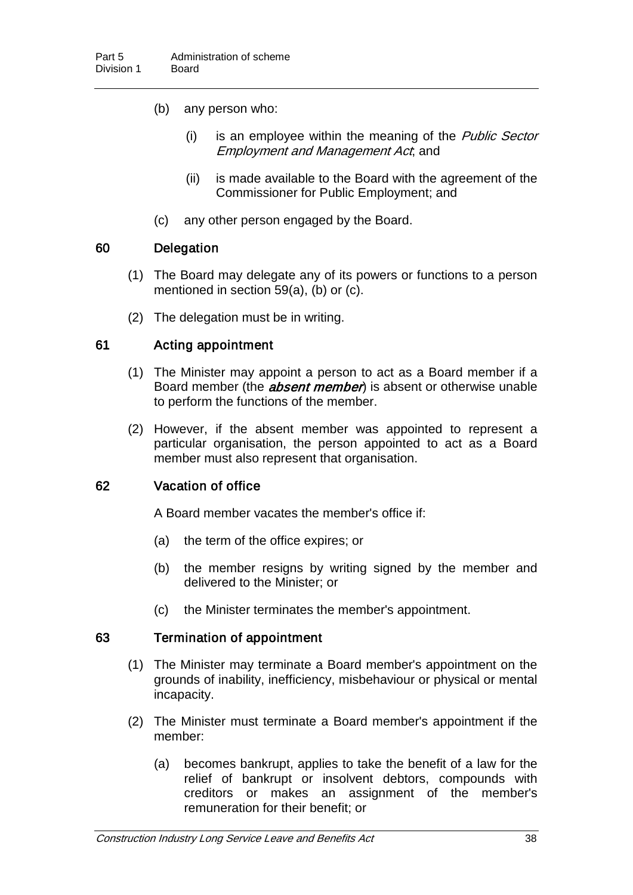- (b) any person who:
	- $(i)$  is an employee within the meaning of the *Public Sector* Employment and Management Act; and
	- (ii) is made available to the Board with the agreement of the Commissioner for Public Employment; and
- (c) any other person engaged by the Board.

#### 60 Delegation

- (1) The Board may delegate any of its powers or functions to a person mentioned in section 59(a), (b) or (c).
- (2) The delegation must be in writing.

### 61 Acting appointment

- (1) The Minister may appoint a person to act as a Board member if a Board member (the *absent member*) is absent or otherwise unable to perform the functions of the member.
- (2) However, if the absent member was appointed to represent a particular organisation, the person appointed to act as a Board member must also represent that organisation.

### 62 Vacation of office

A Board member vacates the member's office if:

- (a) the term of the office expires; or
- (b) the member resigns by writing signed by the member and delivered to the Minister; or
- (c) the Minister terminates the member's appointment.

#### 63 Termination of appointment

- (1) The Minister may terminate a Board member's appointment on the grounds of inability, inefficiency, misbehaviour or physical or mental incapacity.
- (2) The Minister must terminate a Board member's appointment if the member:
	- (a) becomes bankrupt, applies to take the benefit of a law for the relief of bankrupt or insolvent debtors, compounds with creditors or makes an assignment of the member's remuneration for their benefit; or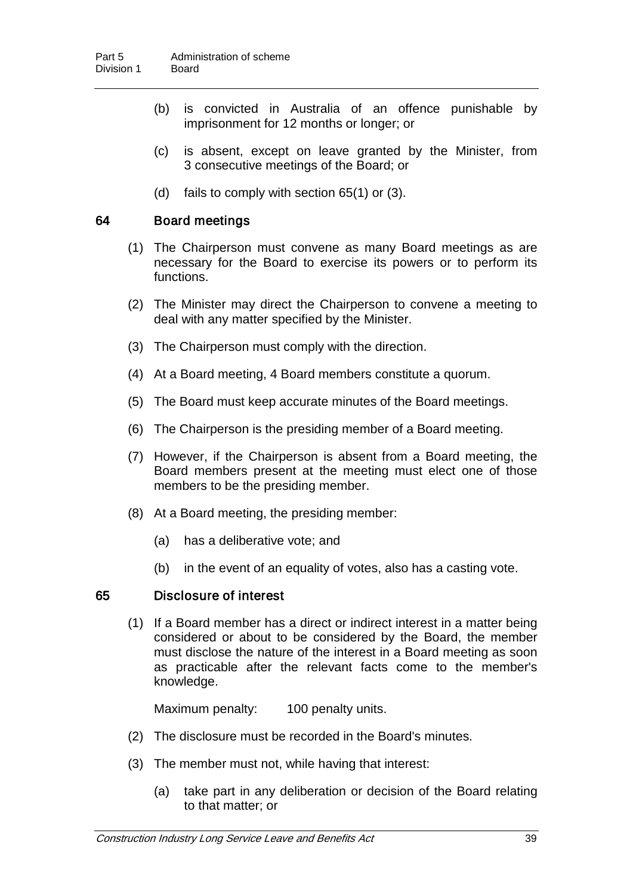- (b) is convicted in Australia of an offence punishable by imprisonment for 12 months or longer; or
- (c) is absent, except on leave granted by the Minister, from 3 consecutive meetings of the Board; or
- (d) fails to comply with section 65(1) or (3).

#### 64 Board meetings

- (1) The Chairperson must convene as many Board meetings as are necessary for the Board to exercise its powers or to perform its functions.
- (2) The Minister may direct the Chairperson to convene a meeting to deal with any matter specified by the Minister.
- (3) The Chairperson must comply with the direction.
- (4) At a Board meeting, 4 Board members constitute a quorum.
- (5) The Board must keep accurate minutes of the Board meetings.
- (6) The Chairperson is the presiding member of a Board meeting.
- (7) However, if the Chairperson is absent from a Board meeting, the Board members present at the meeting must elect one of those members to be the presiding member.
- (8) At a Board meeting, the presiding member:
	- (a) has a deliberative vote; and
	- (b) in the event of an equality of votes, also has a casting vote.

#### 65 Disclosure of interest

(1) If a Board member has a direct or indirect interest in a matter being considered or about to be considered by the Board, the member must disclose the nature of the interest in a Board meeting as soon as practicable after the relevant facts come to the member's knowledge.

Maximum penalty: 100 penalty units.

- (2) The disclosure must be recorded in the Board's minutes.
- (3) The member must not, while having that interest:
	- (a) take part in any deliberation or decision of the Board relating to that matter; or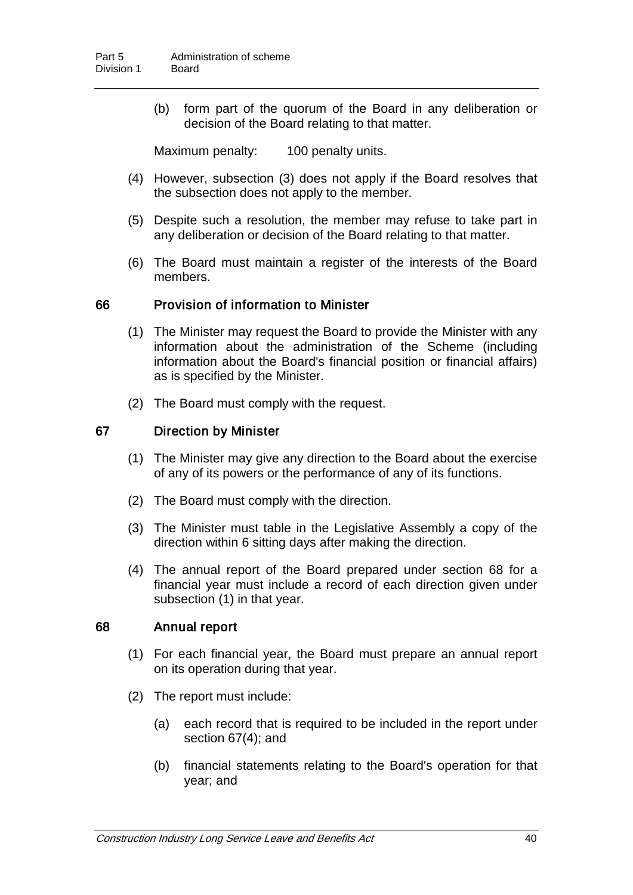(b) form part of the quorum of the Board in any deliberation or decision of the Board relating to that matter.

Maximum penalty: 100 penalty units.

- (4) However, subsection (3) does not apply if the Board resolves that the subsection does not apply to the member.
- (5) Despite such a resolution, the member may refuse to take part in any deliberation or decision of the Board relating to that matter.
- (6) The Board must maintain a register of the interests of the Board members.

#### 66 Provision of information to Minister

- (1) The Minister may request the Board to provide the Minister with any information about the administration of the Scheme (including information about the Board's financial position or financial affairs) as is specified by the Minister.
- (2) The Board must comply with the request.

#### 67 Direction by Minister

- (1) The Minister may give any direction to the Board about the exercise of any of its powers or the performance of any of its functions.
- (2) The Board must comply with the direction.
- (3) The Minister must table in the Legislative Assembly a copy of the direction within 6 sitting days after making the direction.
- (4) The annual report of the Board prepared under section 68 for a financial year must include a record of each direction given under subsection (1) in that year.

#### 68 Annual report

- (1) For each financial year, the Board must prepare an annual report on its operation during that year.
- (2) The report must include:
	- (a) each record that is required to be included in the report under section 67(4); and
	- (b) financial statements relating to the Board's operation for that year; and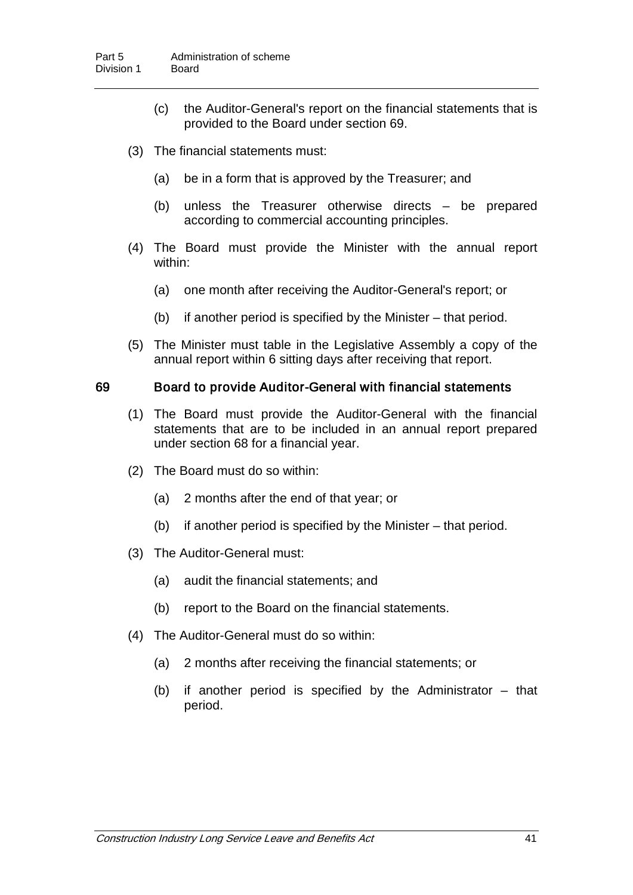- (c) the Auditor-General's report on the financial statements that is provided to the Board under section 69.
- (3) The financial statements must:
	- (a) be in a form that is approved by the Treasurer; and
	- (b) unless the Treasurer otherwise directs be prepared according to commercial accounting principles.
- (4) The Board must provide the Minister with the annual report within:
	- (a) one month after receiving the Auditor-General's report; or
	- (b) if another period is specified by the Minister that period.
- (5) The Minister must table in the Legislative Assembly a copy of the annual report within 6 sitting days after receiving that report.

#### 69 Board to provide Auditor-General with financial statements

- (1) The Board must provide the Auditor-General with the financial statements that are to be included in an annual report prepared under section 68 for a financial year.
- (2) The Board must do so within:
	- (a) 2 months after the end of that year; or
	- (b) if another period is specified by the Minister that period.
- (3) The Auditor-General must:
	- (a) audit the financial statements; and
	- (b) report to the Board on the financial statements.
- (4) The Auditor-General must do so within:
	- (a) 2 months after receiving the financial statements; or
	- (b) if another period is specified by the Administrator that period.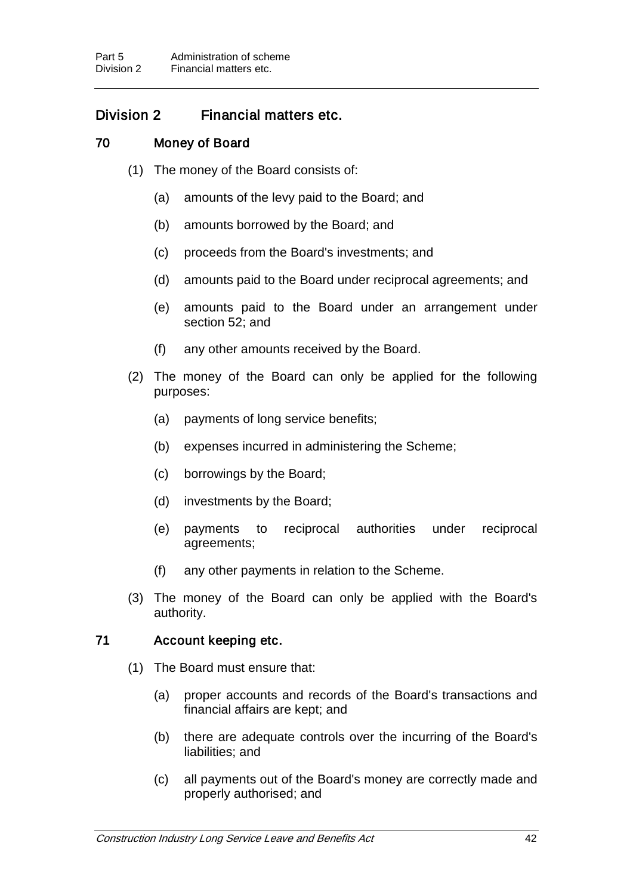## Division 2 Financial matters etc.

## 70 Money of Board

- (1) The money of the Board consists of:
	- (a) amounts of the levy paid to the Board; and
	- (b) amounts borrowed by the Board; and
	- (c) proceeds from the Board's investments; and
	- (d) amounts paid to the Board under reciprocal agreements; and
	- (e) amounts paid to the Board under an arrangement under section 52; and
	- (f) any other amounts received by the Board.
- (2) The money of the Board can only be applied for the following purposes:
	- (a) payments of long service benefits;
	- (b) expenses incurred in administering the Scheme;
	- (c) borrowings by the Board;
	- (d) investments by the Board;
	- (e) payments to reciprocal authorities under reciprocal agreements;
	- (f) any other payments in relation to the Scheme.
- (3) The money of the Board can only be applied with the Board's authority.

#### 71 Account keeping etc.

- (1) The Board must ensure that:
	- (a) proper accounts and records of the Board's transactions and financial affairs are kept; and
	- (b) there are adequate controls over the incurring of the Board's liabilities; and
	- (c) all payments out of the Board's money are correctly made and properly authorised; and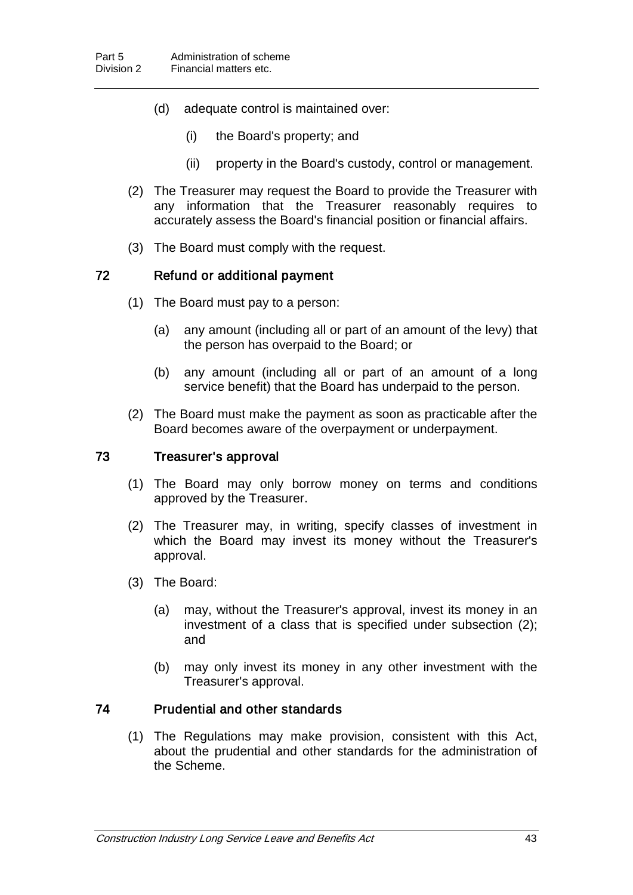- (d) adequate control is maintained over:
	- (i) the Board's property; and
	- (ii) property in the Board's custody, control or management.
- (2) The Treasurer may request the Board to provide the Treasurer with any information that the Treasurer reasonably requires to accurately assess the Board's financial position or financial affairs.
- (3) The Board must comply with the request.

#### 72 Refund or additional payment

- (1) The Board must pay to a person:
	- (a) any amount (including all or part of an amount of the levy) that the person has overpaid to the Board; or
	- (b) any amount (including all or part of an amount of a long service benefit) that the Board has underpaid to the person.
- (2) The Board must make the payment as soon as practicable after the Board becomes aware of the overpayment or underpayment.

#### 73 Treasurer's approval

- (1) The Board may only borrow money on terms and conditions approved by the Treasurer.
- (2) The Treasurer may, in writing, specify classes of investment in which the Board may invest its money without the Treasurer's approval.
- (3) The Board:
	- (a) may, without the Treasurer's approval, invest its money in an investment of a class that is specified under subsection (2); and
	- (b) may only invest its money in any other investment with the Treasurer's approval.

#### 74 Prudential and other standards

(1) The Regulations may make provision, consistent with this Act, about the prudential and other standards for the administration of the Scheme.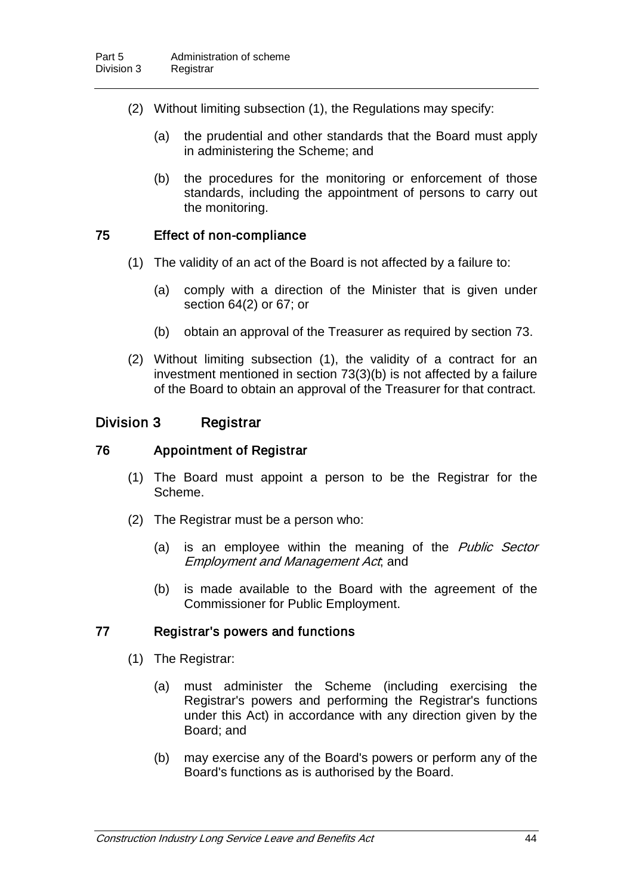- (2) Without limiting subsection (1), the Regulations may specify:
	- (a) the prudential and other standards that the Board must apply in administering the Scheme; and
	- (b) the procedures for the monitoring or enforcement of those standards, including the appointment of persons to carry out the monitoring.

#### 75 Effect of non-compliance

- (1) The validity of an act of the Board is not affected by a failure to:
	- (a) comply with a direction of the Minister that is given under section 64(2) or 67; or
	- (b) obtain an approval of the Treasurer as required by section 73.
- (2) Without limiting subsection (1), the validity of a contract for an investment mentioned in section 73(3)(b) is not affected by a failure of the Board to obtain an approval of the Treasurer for that contract.

#### Division 3 Registrar

#### 76 Appointment of Registrar

- (1) The Board must appoint a person to be the Registrar for the Scheme.
- (2) The Registrar must be a person who:
	- (a) is an employee within the meaning of the Public Sector Employment and Management Act; and
	- (b) is made available to the Board with the agreement of the Commissioner for Public Employment.

#### 77 Registrar's powers and functions

- (1) The Registrar:
	- (a) must administer the Scheme (including exercising the Registrar's powers and performing the Registrar's functions under this Act) in accordance with any direction given by the Board; and
	- (b) may exercise any of the Board's powers or perform any of the Board's functions as is authorised by the Board.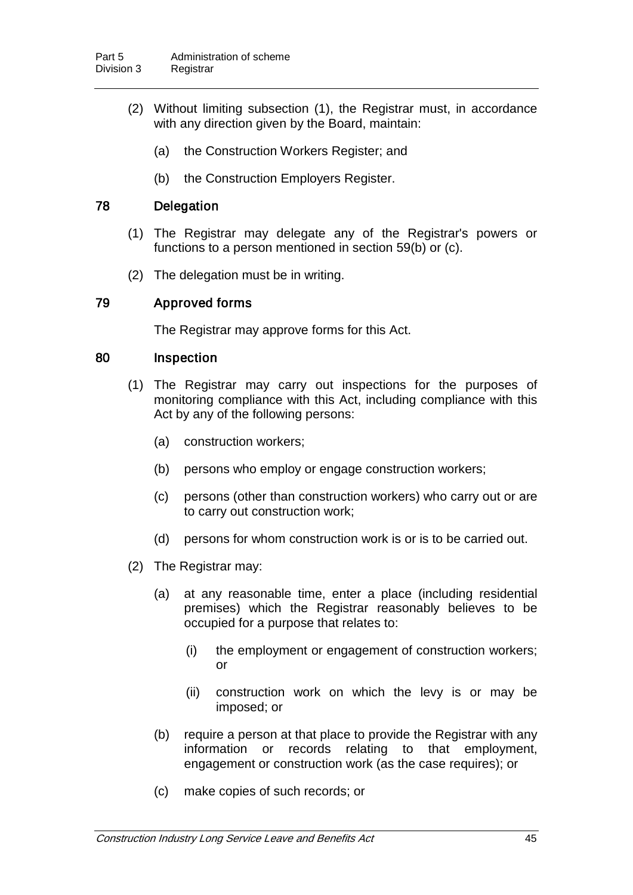- (2) Without limiting subsection (1), the Registrar must, in accordance with any direction given by the Board, maintain:
	- (a) the Construction Workers Register; and
	- (b) the Construction Employers Register.

## 78 Delegation

- (1) The Registrar may delegate any of the Registrar's powers or functions to a person mentioned in section 59(b) or (c).
- (2) The delegation must be in writing.

### 79 Approved forms

The Registrar may approve forms for this Act.

#### 80 Inspection

- (1) The Registrar may carry out inspections for the purposes of monitoring compliance with this Act, including compliance with this Act by any of the following persons:
	- (a) construction workers;
	- (b) persons who employ or engage construction workers;
	- (c) persons (other than construction workers) who carry out or are to carry out construction work;
	- (d) persons for whom construction work is or is to be carried out.
- (2) The Registrar may:
	- (a) at any reasonable time, enter a place (including residential premises) which the Registrar reasonably believes to be occupied for a purpose that relates to:
		- (i) the employment or engagement of construction workers; or
		- (ii) construction work on which the levy is or may be imposed; or
	- (b) require a person at that place to provide the Registrar with any information or records relating to that employment, engagement or construction work (as the case requires); or
	- (c) make copies of such records; or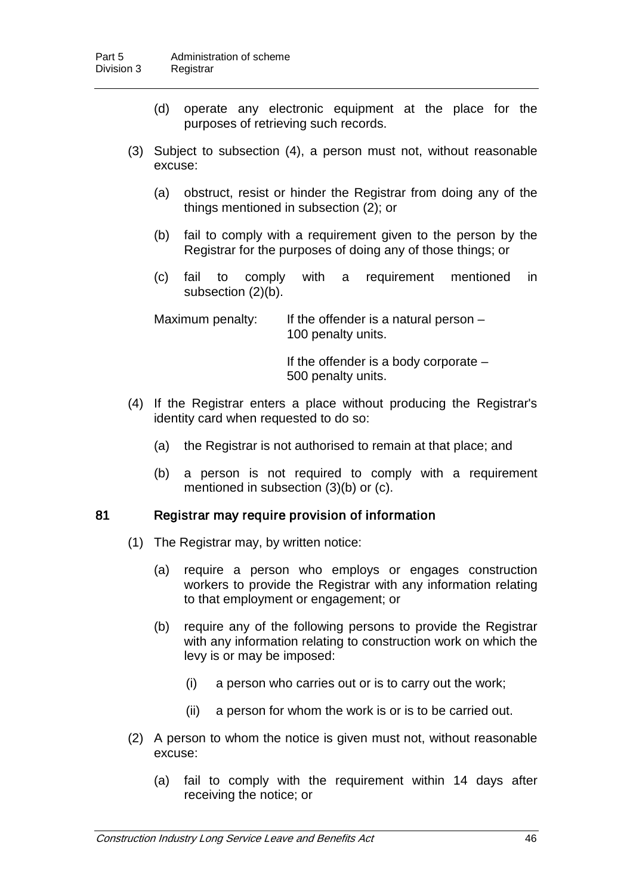- (d) operate any electronic equipment at the place for the purposes of retrieving such records.
- (3) Subject to subsection (4), a person must not, without reasonable excuse:
	- (a) obstruct, resist or hinder the Registrar from doing any of the things mentioned in subsection (2); or
	- (b) fail to comply with a requirement given to the person by the Registrar for the purposes of doing any of those things; or
	- (c) fail to comply with a requirement mentioned in subsection (2)(b).

Maximum penalty: If the offender is a natural person  $-$ 100 penalty units.

> If the offender is a body corporate – 500 penalty units.

- (4) If the Registrar enters a place without producing the Registrar's identity card when requested to do so:
	- (a) the Registrar is not authorised to remain at that place; and
	- (b) a person is not required to comply with a requirement mentioned in subsection (3)(b) or (c).

#### 81 Registrar may require provision of information

- (1) The Registrar may, by written notice:
	- (a) require a person who employs or engages construction workers to provide the Registrar with any information relating to that employment or engagement; or
	- (b) require any of the following persons to provide the Registrar with any information relating to construction work on which the levy is or may be imposed:
		- (i) a person who carries out or is to carry out the work;
		- (ii) a person for whom the work is or is to be carried out.
- (2) A person to whom the notice is given must not, without reasonable excuse:
	- (a) fail to comply with the requirement within 14 days after receiving the notice; or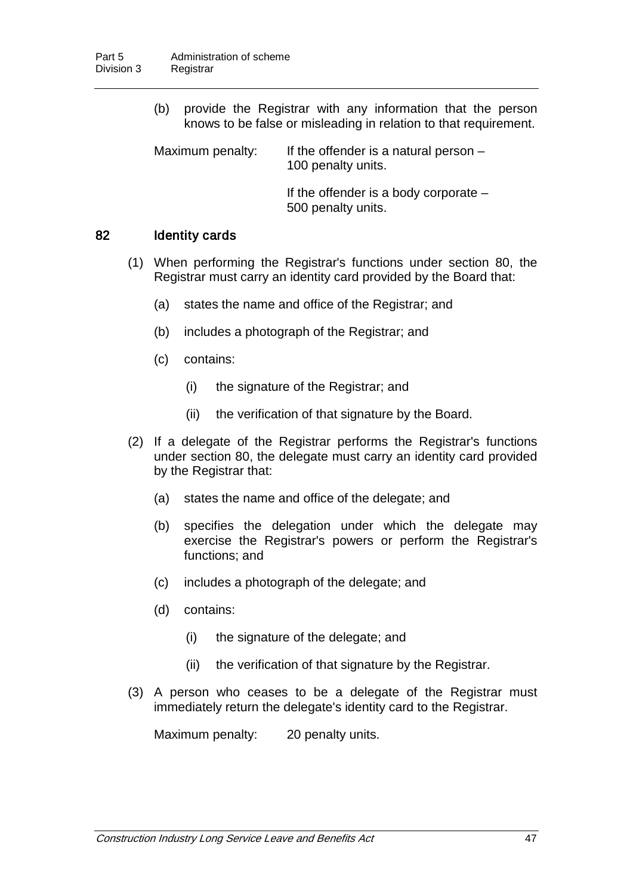(b) provide the Registrar with any information that the person knows to be false or misleading in relation to that requirement.

Maximum penalty: If the offender is a natural person  $-$ 100 penalty units.

> If the offender is a body corporate – 500 penalty units.

### 82 Identity cards

- (1) When performing the Registrar's functions under section 80, the Registrar must carry an identity card provided by the Board that:
	- (a) states the name and office of the Registrar; and
	- (b) includes a photograph of the Registrar; and
	- (c) contains:
		- (i) the signature of the Registrar; and
		- (ii) the verification of that signature by the Board.
- (2) If a delegate of the Registrar performs the Registrar's functions under section 80, the delegate must carry an identity card provided by the Registrar that:
	- (a) states the name and office of the delegate; and
	- (b) specifies the delegation under which the delegate may exercise the Registrar's powers or perform the Registrar's functions; and
	- (c) includes a photograph of the delegate; and
	- (d) contains:
		- (i) the signature of the delegate; and
		- (ii) the verification of that signature by the Registrar.
- (3) A person who ceases to be a delegate of the Registrar must immediately return the delegate's identity card to the Registrar.

Maximum penalty: 20 penalty units.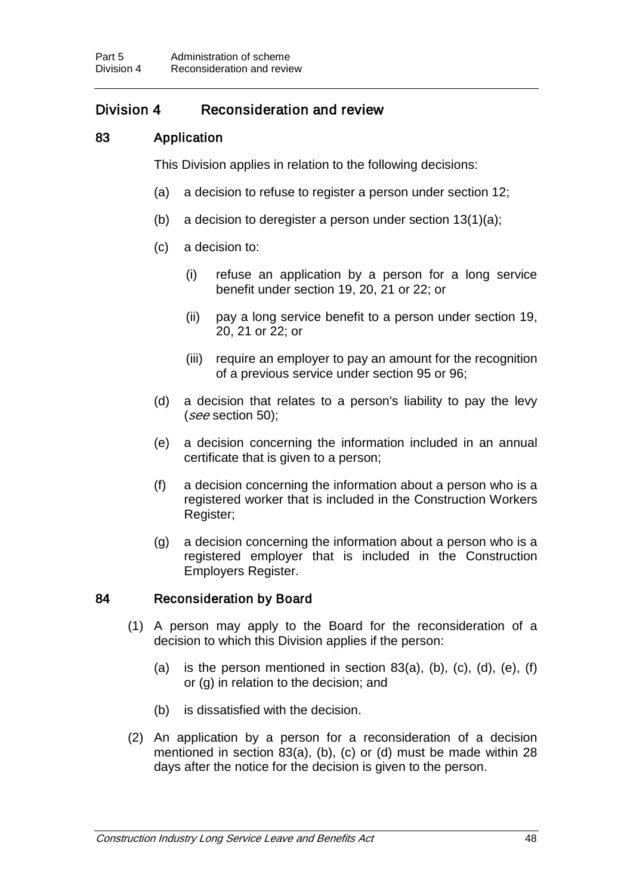## Division 4 Reconsideration and review

## 83 Application

This Division applies in relation to the following decisions:

- (a) a decision to refuse to register a person under section 12;
- (b) a decision to deregister a person under section 13(1)(a);
- (c) a decision to:
	- (i) refuse an application by a person for a long service benefit under section 19, 20, 21 or 22; or
	- (ii) pay a long service benefit to a person under section 19, 20, 21 or 22; or
	- (iii) require an employer to pay an amount for the recognition of a previous service under section 95 or 96;
- (d) a decision that relates to a person's liability to pay the levy (see section 50);
- (e) a decision concerning the information included in an annual certificate that is given to a person;
- (f) a decision concerning the information about a person who is a registered worker that is included in the Construction Workers Register;
- (g) a decision concerning the information about a person who is a registered employer that is included in the Construction Employers Register.

#### 84 Reconsideration by Board

- (1) A person may apply to the Board for the reconsideration of a decision to which this Division applies if the person:
	- (a) is the person mentioned in section  $83(a)$ , (b), (c), (d), (e), (f) or (g) in relation to the decision; and
	- (b) is dissatisfied with the decision.
- (2) An application by a person for a reconsideration of a decision mentioned in section 83(a), (b), (c) or (d) must be made within 28 days after the notice for the decision is given to the person.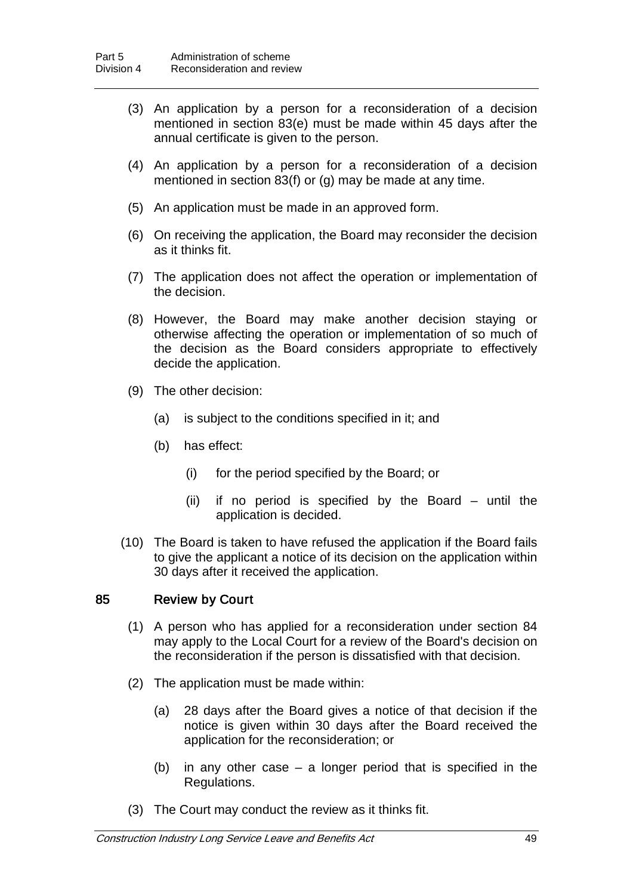- (3) An application by a person for a reconsideration of a decision mentioned in section 83(e) must be made within 45 days after the annual certificate is given to the person.
- (4) An application by a person for a reconsideration of a decision mentioned in section 83(f) or (g) may be made at any time.
- (5) An application must be made in an approved form.
- (6) On receiving the application, the Board may reconsider the decision as it thinks fit.
- (7) The application does not affect the operation or implementation of the decision.
- (8) However, the Board may make another decision staying or otherwise affecting the operation or implementation of so much of the decision as the Board considers appropriate to effectively decide the application.
- (9) The other decision:
	- (a) is subject to the conditions specified in it; and
	- (b) has effect:
		- (i) for the period specified by the Board; or
		- (ii) if no period is specified by the Board until the application is decided.
- (10) The Board is taken to have refused the application if the Board fails to give the applicant a notice of its decision on the application within 30 days after it received the application.

### 85 Review by Court

- (1) A person who has applied for a reconsideration under section 84 may apply to the Local Court for a review of the Board's decision on the reconsideration if the person is dissatisfied with that decision.
- (2) The application must be made within:
	- (a) 28 days after the Board gives a notice of that decision if the notice is given within 30 days after the Board received the application for the reconsideration; or
	- (b) in any other case a longer period that is specified in the Regulations.
- (3) The Court may conduct the review as it thinks fit.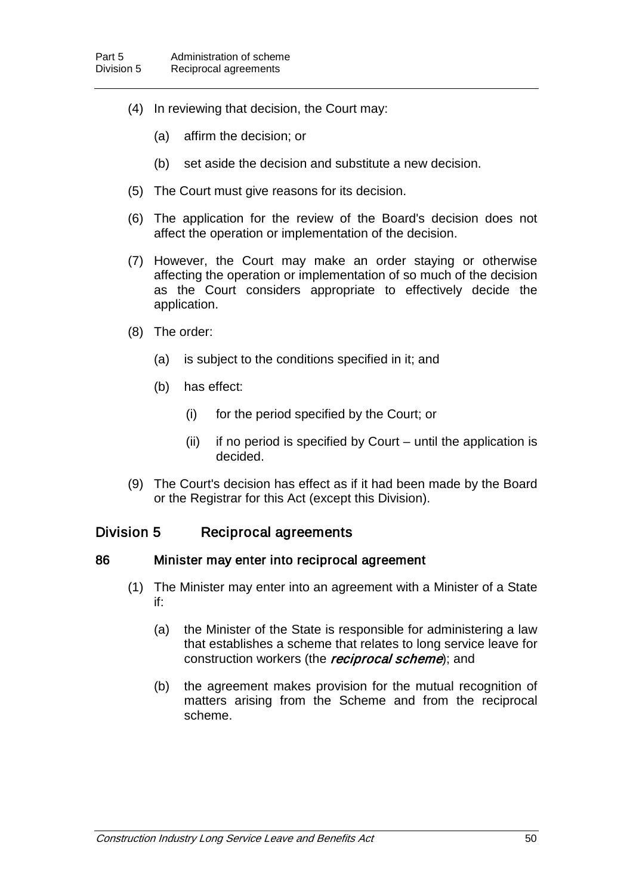- (4) In reviewing that decision, the Court may:
	- (a) affirm the decision; or
	- (b) set aside the decision and substitute a new decision.
- (5) The Court must give reasons for its decision.
- (6) The application for the review of the Board's decision does not affect the operation or implementation of the decision.
- (7) However, the Court may make an order staying or otherwise affecting the operation or implementation of so much of the decision as the Court considers appropriate to effectively decide the application.
- (8) The order:
	- (a) is subject to the conditions specified in it; and
	- (b) has effect:
		- (i) for the period specified by the Court; or
		- (ii) if no period is specified by Court until the application is decided.
- (9) The Court's decision has effect as if it had been made by the Board or the Registrar for this Act (except this Division).

## Division 5 Reciprocal agreements

#### 86 Minister may enter into reciprocal agreement

- (1) The Minister may enter into an agreement with a Minister of a State if:
	- (a) the Minister of the State is responsible for administering a law that establishes a scheme that relates to long service leave for construction workers (the *reciprocal scheme*); and
	- (b) the agreement makes provision for the mutual recognition of matters arising from the Scheme and from the reciprocal scheme.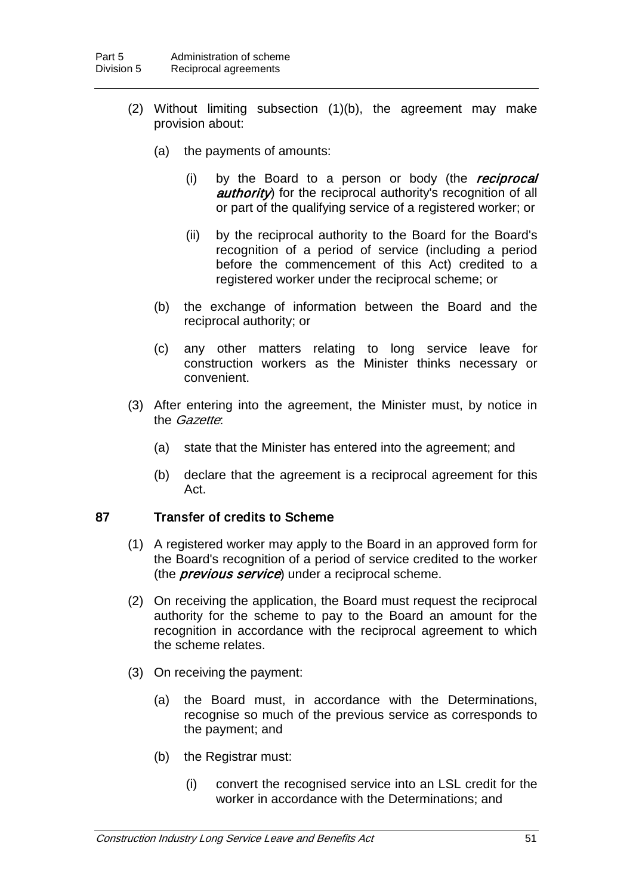- (2) Without limiting subsection (1)(b), the agreement may make provision about:
	- (a) the payments of amounts:
		- (i) by the Board to a person or body (the reciprocal authority) for the reciprocal authority's recognition of all or part of the qualifying service of a registered worker; or
		- (ii) by the reciprocal authority to the Board for the Board's recognition of a period of service (including a period before the commencement of this Act) credited to a registered worker under the reciprocal scheme; or
	- (b) the exchange of information between the Board and the reciprocal authority; or
	- (c) any other matters relating to long service leave for construction workers as the Minister thinks necessary or convenient.
- (3) After entering into the agreement, the Minister must, by notice in the *Gazette*:
	- (a) state that the Minister has entered into the agreement; and
	- (b) declare that the agreement is a reciprocal agreement for this Act.

## 87 Transfer of credits to Scheme

- (1) A registered worker may apply to the Board in an approved form for the Board's recognition of a period of service credited to the worker (the *previous service*) under a reciprocal scheme.
- (2) On receiving the application, the Board must request the reciprocal authority for the scheme to pay to the Board an amount for the recognition in accordance with the reciprocal agreement to which the scheme relates.
- (3) On receiving the payment:
	- (a) the Board must, in accordance with the Determinations, recognise so much of the previous service as corresponds to the payment; and
	- (b) the Registrar must:
		- (i) convert the recognised service into an LSL credit for the worker in accordance with the Determinations; and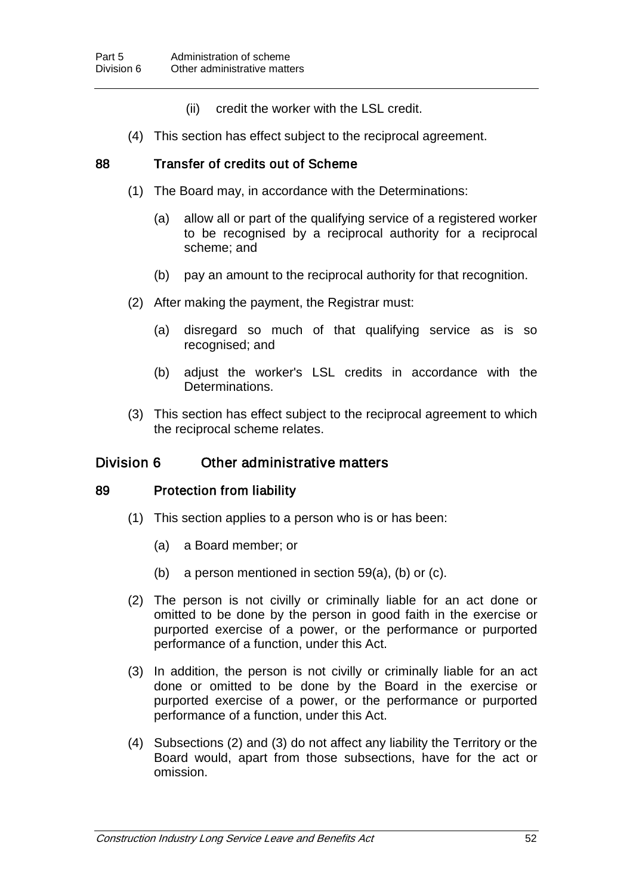- (ii) credit the worker with the LSL credit.
- (4) This section has effect subject to the reciprocal agreement.

### 88 Transfer of credits out of Scheme

- (1) The Board may, in accordance with the Determinations:
	- (a) allow all or part of the qualifying service of a registered worker to be recognised by a reciprocal authority for a reciprocal scheme; and
	- (b) pay an amount to the reciprocal authority for that recognition.
- (2) After making the payment, the Registrar must:
	- (a) disregard so much of that qualifying service as is so recognised; and
	- (b) adjust the worker's LSL credits in accordance with the Determinations.
- (3) This section has effect subject to the reciprocal agreement to which the reciprocal scheme relates.

## Division 6 Other administrative matters

#### 89 Protection from liability

- (1) This section applies to a person who is or has been:
	- (a) a Board member; or
	- (b) a person mentioned in section 59(a), (b) or (c).
- (2) The person is not civilly or criminally liable for an act done or omitted to be done by the person in good faith in the exercise or purported exercise of a power, or the performance or purported performance of a function, under this Act.
- (3) In addition, the person is not civilly or criminally liable for an act done or omitted to be done by the Board in the exercise or purported exercise of a power, or the performance or purported performance of a function, under this Act.
- (4) Subsections (2) and (3) do not affect any liability the Territory or the Board would, apart from those subsections, have for the act or omission.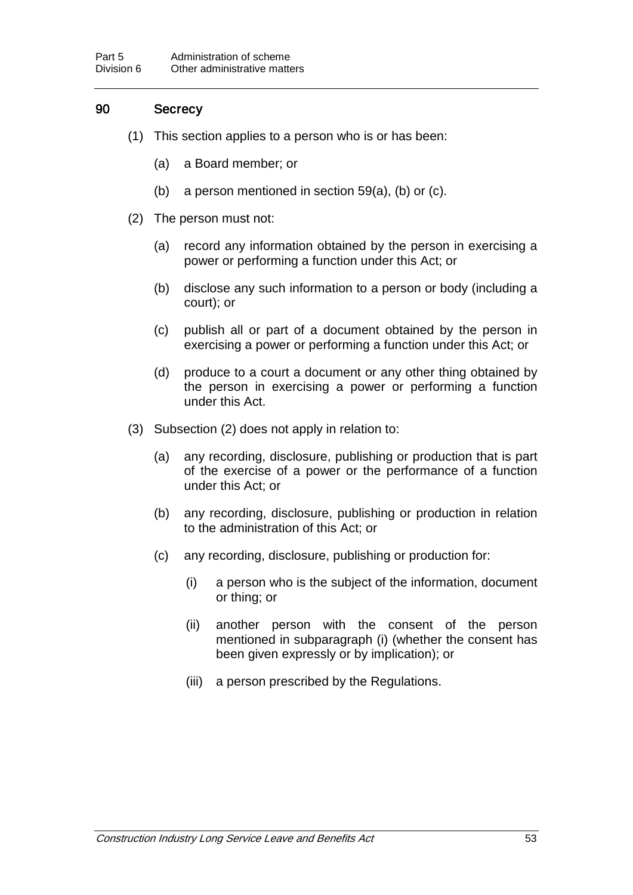## 90 Secrecy

- (1) This section applies to a person who is or has been:
	- (a) a Board member; or
	- (b) a person mentioned in section 59(a), (b) or (c).
- (2) The person must not:
	- (a) record any information obtained by the person in exercising a power or performing a function under this Act; or
	- (b) disclose any such information to a person or body (including a court); or
	- (c) publish all or part of a document obtained by the person in exercising a power or performing a function under this Act; or
	- (d) produce to a court a document or any other thing obtained by the person in exercising a power or performing a function under this Act.
- (3) Subsection (2) does not apply in relation to:
	- (a) any recording, disclosure, publishing or production that is part of the exercise of a power or the performance of a function under this Act; or
	- (b) any recording, disclosure, publishing or production in relation to the administration of this Act; or
	- (c) any recording, disclosure, publishing or production for:
		- (i) a person who is the subject of the information, document or thing; or
		- (ii) another person with the consent of the person mentioned in subparagraph (i) (whether the consent has been given expressly or by implication); or
		- (iii) a person prescribed by the Regulations.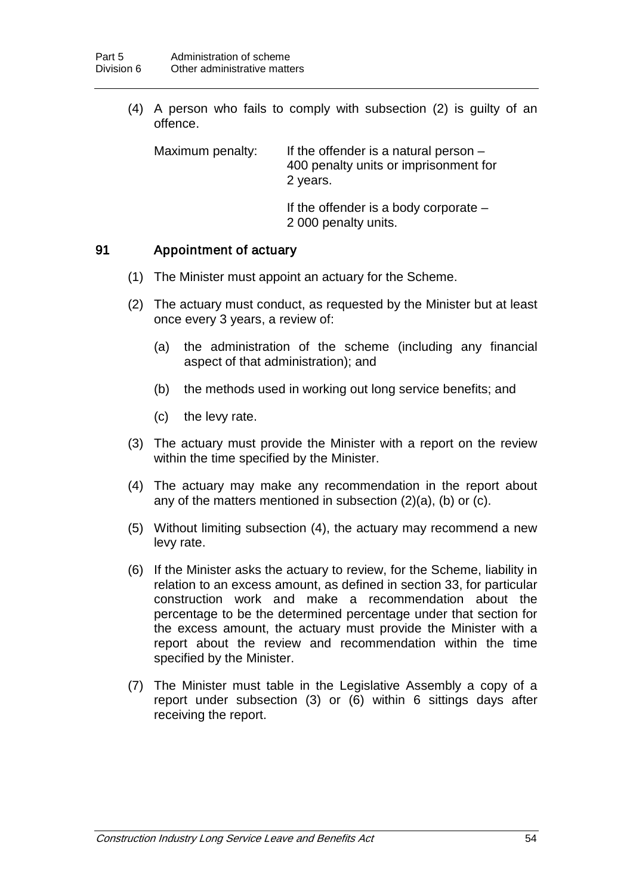(4) A person who fails to comply with subsection (2) is guilty of an offence.

Maximum penalty: If the offender is a natural person – 400 penalty units or imprisonment for 2 years. If the offender is a body corporate –

2 000 penalty units.

### 91 Appointment of actuary

- (1) The Minister must appoint an actuary for the Scheme.
- (2) The actuary must conduct, as requested by the Minister but at least once every 3 years, a review of:
	- (a) the administration of the scheme (including any financial aspect of that administration); and
	- (b) the methods used in working out long service benefits; and
	- (c) the levy rate.
- (3) The actuary must provide the Minister with a report on the review within the time specified by the Minister.
- (4) The actuary may make any recommendation in the report about any of the matters mentioned in subsection (2)(a), (b) or (c).
- (5) Without limiting subsection (4), the actuary may recommend a new levy rate.
- (6) If the Minister asks the actuary to review, for the Scheme, liability in relation to an excess amount, as defined in section 33, for particular construction work and make a recommendation about the percentage to be the determined percentage under that section for the excess amount, the actuary must provide the Minister with a report about the review and recommendation within the time specified by the Minister.
- (7) The Minister must table in the Legislative Assembly a copy of a report under subsection (3) or (6) within 6 sittings days after receiving the report.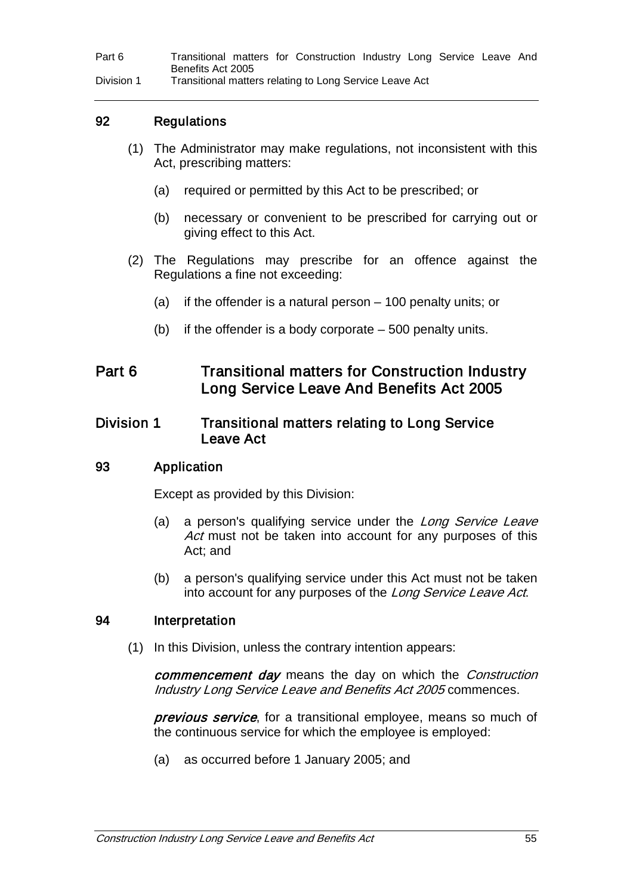Part 6 Transitional matters for Construction Industry Long Service Leave And Benefits Act 2005

Division 1 Transitional matters relating to Long Service Leave Act

## 92 Regulations

- (1) The Administrator may make regulations, not inconsistent with this Act, prescribing matters:
	- (a) required or permitted by this Act to be prescribed; or
	- (b) necessary or convenient to be prescribed for carrying out or giving effect to this Act.
- (2) The Regulations may prescribe for an offence against the Regulations a fine not exceeding:
	- (a) if the offender is a natural person 100 penalty units; or
	- (b) if the offender is a body corporate 500 penalty units.

## Part 6 Transitional matters for Construction Industry Long Service Leave And Benefits Act 2005

## Division 1 Transitional matters relating to Long Service Leave Act

#### 93 Application

Except as provided by this Division:

- (a) a person's qualifying service under the Long Service Leave Act must not be taken into account for any purposes of this Act; and
- (b) a person's qualifying service under this Act must not be taken into account for any purposes of the Long Service Leave Act.

#### 94 Interpretation

(1) In this Division, unless the contrary intention appears:

commencement day means the day on which the Construction Industry Long Service Leave and Benefits Act 2005 commences.

previous service, for a transitional employee, means so much of the continuous service for which the employee is employed:

(a) as occurred before 1 January 2005; and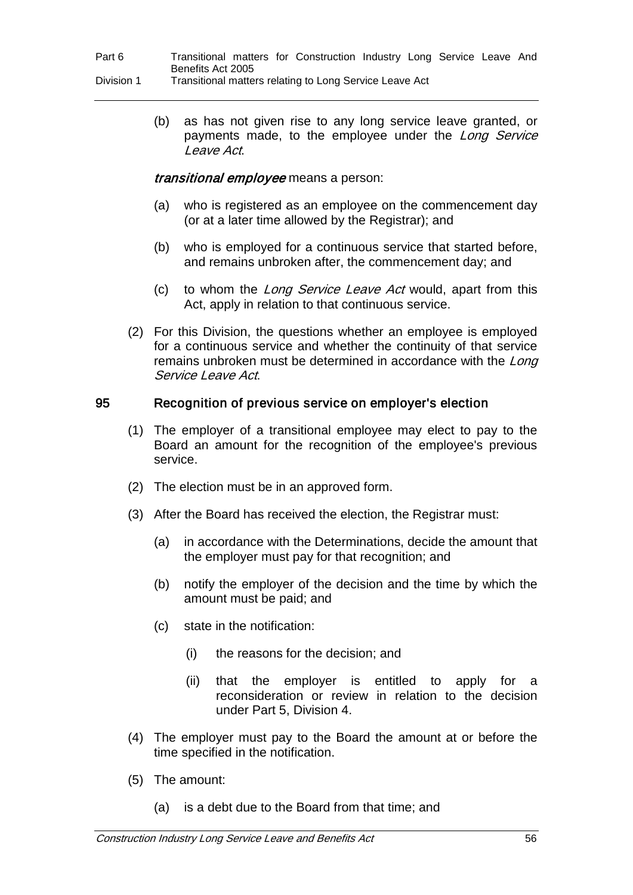(b) as has not given rise to any long service leave granted, or payments made, to the employee under the Long Service Leave Act.

### transitional employee means a person:

- (a) who is registered as an employee on the commencement day (or at a later time allowed by the Registrar); and
- (b) who is employed for a continuous service that started before, and remains unbroken after, the commencement day; and
- (c) to whom the Long Service Leave Act would, apart from this Act, apply in relation to that continuous service.
- (2) For this Division, the questions whether an employee is employed for a continuous service and whether the continuity of that service remains unbroken must be determined in accordance with the Long Service Leave Act.

## 95 Recognition of previous service on employer's election

- (1) The employer of a transitional employee may elect to pay to the Board an amount for the recognition of the employee's previous service.
- (2) The election must be in an approved form.
- (3) After the Board has received the election, the Registrar must:
	- (a) in accordance with the Determinations, decide the amount that the employer must pay for that recognition; and
	- (b) notify the employer of the decision and the time by which the amount must be paid; and
	- (c) state in the notification:
		- (i) the reasons for the decision; and
		- (ii) that the employer is entitled to apply for a reconsideration or review in relation to the decision under Part 5, Division 4.
- (4) The employer must pay to the Board the amount at or before the time specified in the notification.
- (5) The amount:
	- (a) is a debt due to the Board from that time; and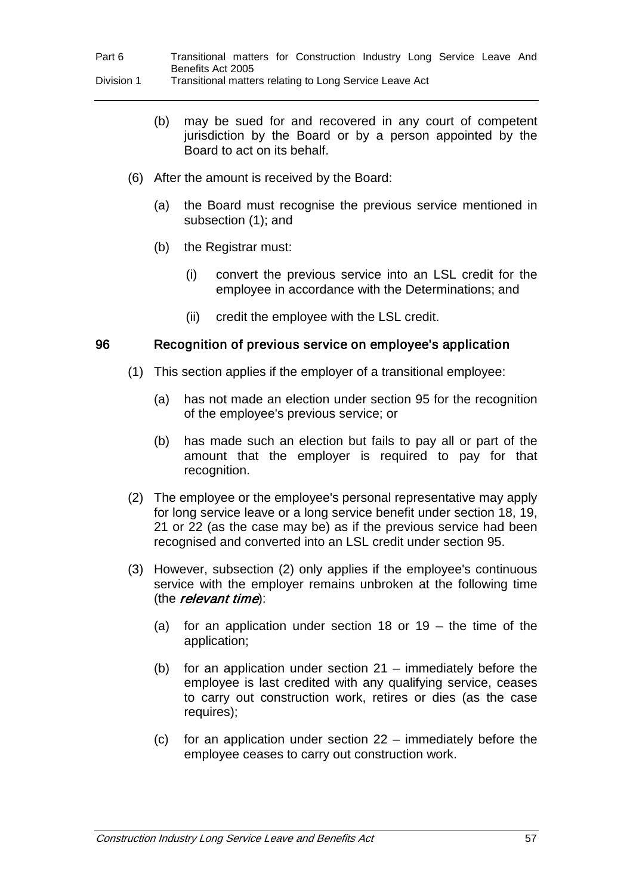- (b) may be sued for and recovered in any court of competent jurisdiction by the Board or by a person appointed by the Board to act on its behalf.
- (6) After the amount is received by the Board:
	- (a) the Board must recognise the previous service mentioned in subsection (1); and
	- (b) the Registrar must:
		- (i) convert the previous service into an LSL credit for the employee in accordance with the Determinations; and
		- (ii) credit the employee with the LSL credit.

### 96 Recognition of previous service on employee's application

- (1) This section applies if the employer of a transitional employee:
	- (a) has not made an election under section 95 for the recognition of the employee's previous service; or
	- (b) has made such an election but fails to pay all or part of the amount that the employer is required to pay for that recognition.
- (2) The employee or the employee's personal representative may apply for long service leave or a long service benefit under section 18, 19, 21 or 22 (as the case may be) as if the previous service had been recognised and converted into an LSL credit under section 95.
- (3) However, subsection (2) only applies if the employee's continuous service with the employer remains unbroken at the following time (the *relevant time*):
	- (a) for an application under section 18 or 19 the time of the application;
	- (b) for an application under section 21 immediately before the employee is last credited with any qualifying service, ceases to carry out construction work, retires or dies (as the case requires);
	- (c) for an application under section 22 immediately before the employee ceases to carry out construction work.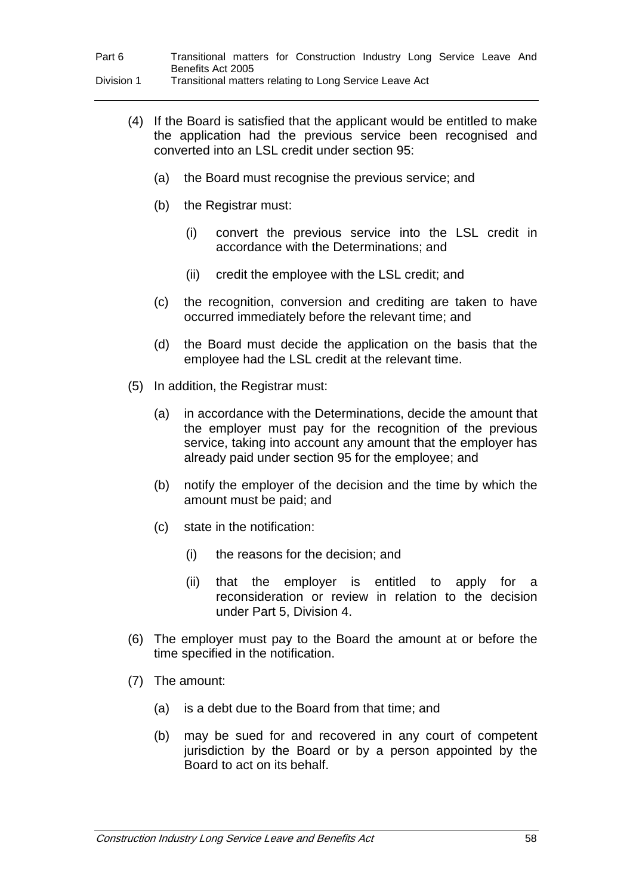| Part 6     |                   |  | Transitional matters for Construction Industry Long Service Leave And |  |  |  |
|------------|-------------------|--|-----------------------------------------------------------------------|--|--|--|
|            | Benefits Act 2005 |  |                                                                       |  |  |  |
| Division 1 |                   |  | Transitional matters relating to Long Service Leave Act               |  |  |  |

- (4) If the Board is satisfied that the applicant would be entitled to make the application had the previous service been recognised and converted into an LSL credit under section 95:
	- (a) the Board must recognise the previous service; and
	- (b) the Registrar must:
		- (i) convert the previous service into the LSL credit in accordance with the Determinations; and
		- (ii) credit the employee with the LSL credit; and
	- (c) the recognition, conversion and crediting are taken to have occurred immediately before the relevant time; and
	- (d) the Board must decide the application on the basis that the employee had the LSL credit at the relevant time.
- (5) In addition, the Registrar must:
	- (a) in accordance with the Determinations, decide the amount that the employer must pay for the recognition of the previous service, taking into account any amount that the employer has already paid under section 95 for the employee; and
	- (b) notify the employer of the decision and the time by which the amount must be paid; and
	- (c) state in the notification:
		- (i) the reasons for the decision; and
		- (ii) that the employer is entitled to apply for a reconsideration or review in relation to the decision under Part 5, Division 4.
- (6) The employer must pay to the Board the amount at or before the time specified in the notification.
- (7) The amount:
	- (a) is a debt due to the Board from that time; and
	- (b) may be sued for and recovered in any court of competent jurisdiction by the Board or by a person appointed by the Board to act on its behalf.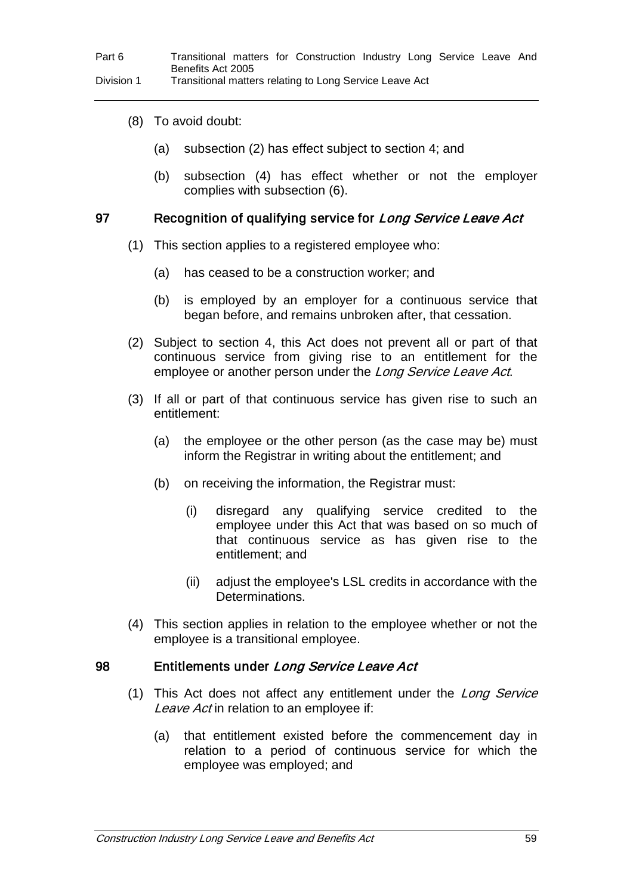- (8) To avoid doubt:
	- (a) subsection (2) has effect subject to section 4; and
	- (b) subsection (4) has effect whether or not the employer complies with subsection (6).

#### 97 Recognition of qualifying service for Long Service Leave Act

- (1) This section applies to a registered employee who:
	- (a) has ceased to be a construction worker; and
	- (b) is employed by an employer for a continuous service that began before, and remains unbroken after, that cessation.
- (2) Subject to section 4, this Act does not prevent all or part of that continuous service from giving rise to an entitlement for the employee or another person under the Long Service Leave Act.
- (3) If all or part of that continuous service has given rise to such an entitlement:
	- (a) the employee or the other person (as the case may be) must inform the Registrar in writing about the entitlement; and
	- (b) on receiving the information, the Registrar must:
		- (i) disregard any qualifying service credited to the employee under this Act that was based on so much of that continuous service as has given rise to the entitlement; and
		- (ii) adjust the employee's LSL credits in accordance with the Determinations.
- (4) This section applies in relation to the employee whether or not the employee is a transitional employee.

#### 98 Entitlements under Long Service Leave Act

- (1) This Act does not affect any entitlement under the Long Service Leave Act in relation to an employee if:
	- (a) that entitlement existed before the commencement day in relation to a period of continuous service for which the employee was employed; and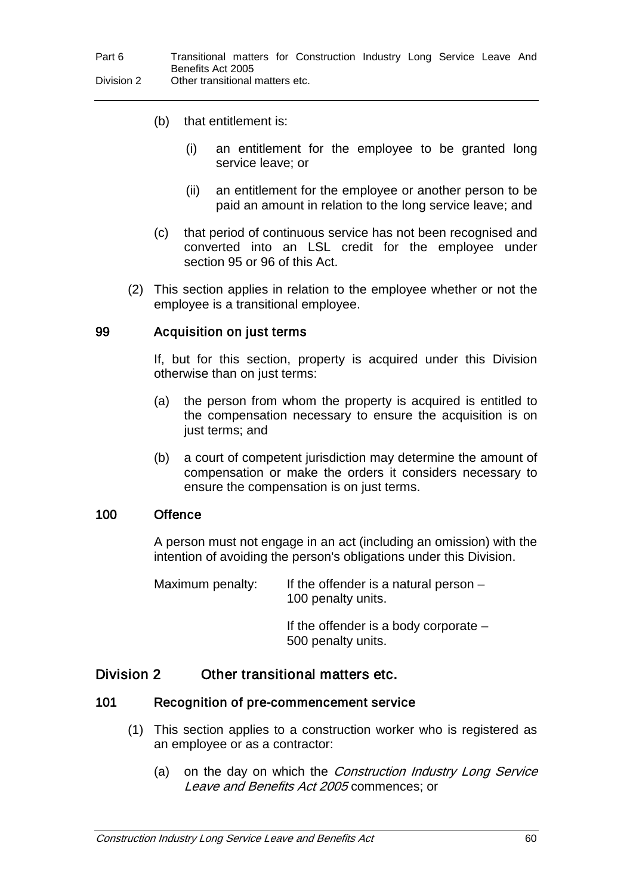- (b) that entitlement is:
	- (i) an entitlement for the employee to be granted long service leave; or
	- (ii) an entitlement for the employee or another person to be paid an amount in relation to the long service leave; and
- (c) that period of continuous service has not been recognised and converted into an LSL credit for the employee under section 95 or 96 of this Act.
- (2) This section applies in relation to the employee whether or not the employee is a transitional employee.

#### 99 Acquisition on just terms

If, but for this section, property is acquired under this Division otherwise than on just terms:

- (a) the person from whom the property is acquired is entitled to the compensation necessary to ensure the acquisition is on just terms; and
- (b) a court of competent jurisdiction may determine the amount of compensation or make the orders it considers necessary to ensure the compensation is on just terms.

#### 100 Offence

A person must not engage in an act (including an omission) with the intention of avoiding the person's obligations under this Division.

Maximum penalty: If the offender is a natural person  $-$ 100 penalty units.

> If the offender is a body corporate – 500 penalty units.

## Division 2 Other transitional matters etc.

#### 101 Recognition of pre-commencement service

- (1) This section applies to a construction worker who is registered as an employee or as a contractor:
	- (a) on the day on which the *Construction Industry Long Service* Leave and Benefits Act 2005 commences; or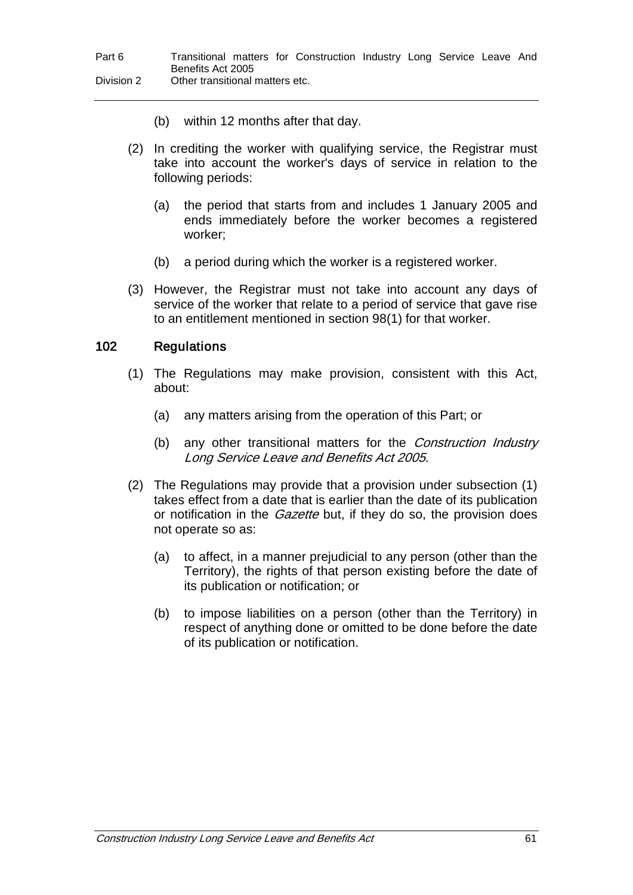- (b) within 12 months after that day.
- (2) In crediting the worker with qualifying service, the Registrar must take into account the worker's days of service in relation to the following periods:
	- (a) the period that starts from and includes 1 January 2005 and ends immediately before the worker becomes a registered worker;
	- (b) a period during which the worker is a registered worker.
- (3) However, the Registrar must not take into account any days of service of the worker that relate to a period of service that gave rise to an entitlement mentioned in section 98(1) for that worker.

### 102 Regulations

- (1) The Regulations may make provision, consistent with this Act, about:
	- (a) any matters arising from the operation of this Part; or
	- (b) any other transitional matters for the *Construction Industry* Long Service Leave and Benefits Act 2005.
- (2) The Regulations may provide that a provision under subsection (1) takes effect from a date that is earlier than the date of its publication or notification in the *Gazette* but, if they do so, the provision does not operate so as:
	- (a) to affect, in a manner prejudicial to any person (other than the Territory), the rights of that person existing before the date of its publication or notification; or
	- (b) to impose liabilities on a person (other than the Territory) in respect of anything done or omitted to be done before the date of its publication or notification.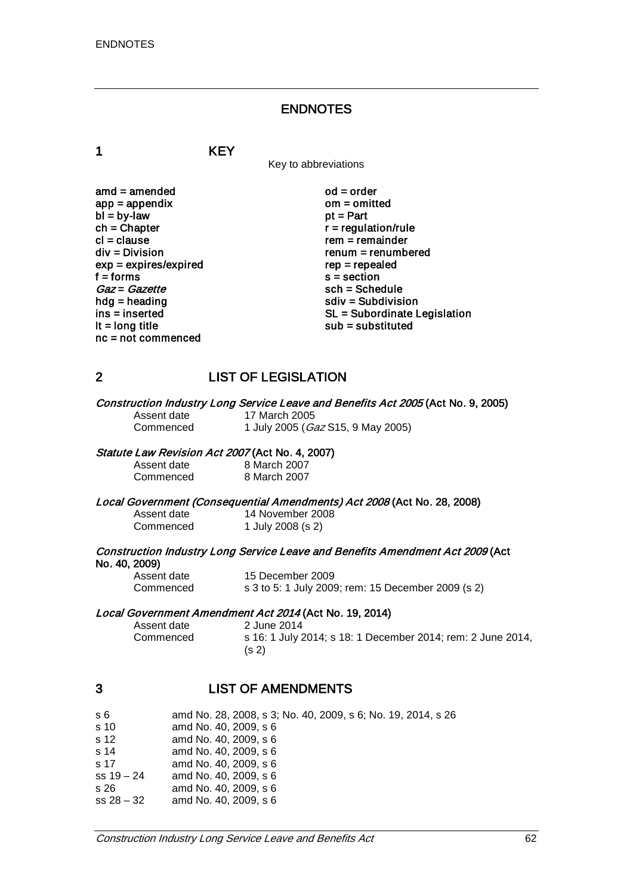#### ENDNOTES

1 KEY

Key to abbreviations

amd = amended od = order<br>app = appendix om = omitted  $app = appendix$  om = om<br>  $bl = by-law$  of = Part  $bl = by-law$ <br>ch = Chapter  $ch = Chapter$ <br>  $cl = clause$  regulation/rule  $cl = clause$ <br>  $div = Division$   $rem = remainder$  $exp = expires/expired$ <br>f = forms  $f = 6$  forms s = section<br>  $Gaz = Gazette$  sch = Sche  $Gaz = Gazette$ <br>hdg = heading sch = Schedule<br>sch = Subdivisi hdg = heading solution<br>ins = inserted solution<br>SL = Subordinate L nc = not commenced

 $renum = renumbered$ <br> $rep = rep\end{eq}$ ins = inserted ins = inserted ins = inserted ins = subordinate Legislation<br>It = long title installation sub = substituted  $sub =$  substituted

## 2 LIST OF LEGISLATION

# Construction Industry Long Service Leave and Benefits Act 2005 (Act No. 9, 2005)<br>Assent date 17 March 2005

#### Assent date 17 March 2005<br>Commenced 1 July 2005 (Ga 1 July 2005 (Gaz S15, 9 May 2005)

#### Statute Law Revision Act 2007 (Act No. 4, 2007)

Assent date 8 March 2007<br>Commenced 8 March 2007 8 March 2007

Local Government (Consequential Amendments) Act 2008 (Act No. 28, 2008)

| Assent date | 14 November 2008  |
|-------------|-------------------|
| Commenced   | 1 July 2008 (s 2) |

## Construction Industry Long Service Leave and Benefits Amendment Act 2009 (Act No. 40, 2009)

| Assent date | 15 December 2009                                   |
|-------------|----------------------------------------------------|
| Commenced   | s 3 to 5: 1 July 2009; rem: 15 December 2009 (s 2) |

# Local Government Amendment Act 2014 (Act No. 19, 2014)<br>Assent date 20114 20114

Assent date 2014<br>
Commenced 5 16: 1 July 2 s 16: 1 July 2014; s 18: 1 December 2014; rem: 2 June 2014, (s 2)

## 3 LIST OF AMENDMENTS

| s 6          | amd No. 28, 2008, s 3; No. 40, 2009, s 6; No. 19, 2014, s 26 |
|--------------|--------------------------------------------------------------|
| s 10         | amd No. 40, 2009, s 6                                        |
| s 12         | amd No. 40, 2009, s 6                                        |
| s 14         | amd No. 40, 2009, s 6                                        |
| s 17         | amd No. 40, 2009, s 6                                        |
| $ss 19 - 24$ | amd No. 40, 2009, s 6                                        |
| s 26         | amd No. 40, 2009, s 6                                        |
| $ss 28 - 32$ | amd No. 40, 2009, s 6                                        |